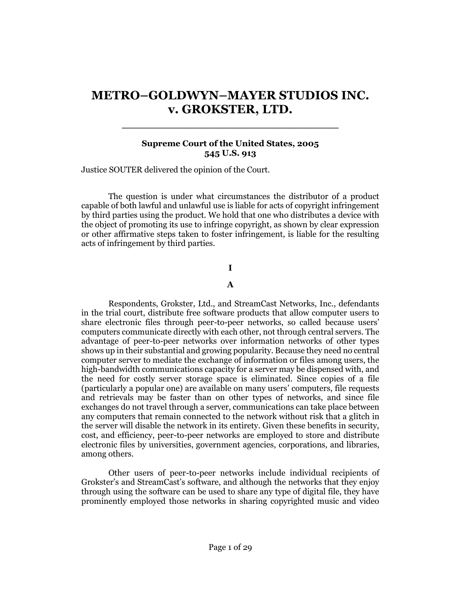# **METRO–GOLDWYN–MAYER STUDIOS INC. v. [GROKSTER, LTD.](http://www.westlaw.com/Search/Results.html?query=advanced%3a+WCAID(ID7FB826545E311DD89820014224D2780)&saveJuris=False&contentType=BUSINESS-INVESTIGATOR&startIndex=1&contextData=(sc.Default)&categoryPageUrl=Home%2fCompanyInvestigator&originationContext=document&vr=3.0&rs=cblt1.0&transitionType=DocumentItem)**

\_\_\_\_\_\_\_\_\_\_\_\_\_\_\_\_\_\_\_\_\_\_\_\_\_\_\_\_

## **Supreme Court of the United States, 2005 545 U.S. 913**

Justice [SOUTER](http://www.westlaw.com/Link/Document/FullText?findType=h&pubNum=176284&cite=0263202201&originatingDoc=I3fb03e97e5d511d983e7e9deff98dc6f&refType=RQ&originationContext=document&vr=3.0&rs=cblt1.0&transitionType=DocumentItem&contextData=(sc.UserEnteredCitation)) delivered the opinion of the Court.

The question is under what circumstances the distributor of a product capable of both lawful and unlawful use is liable for acts of copyright infringement by third parties using the product. We hold that one who distributes a device with the object of promoting its use to infringe copyright, as shown by clear expression or other affirmative steps taken to foster infringement, is liable for the resulting acts of infringement by third parties.

## **I**

#### **A**

Respondents, Grokster, Ltd., and StreamCast Networks, Inc., defendants in the trial court, distribute free software products that allow computer users to share electronic files through peer-to-peer networks, so called because users' computers communicate directly with each other, not through central servers. The advantage of peer-to-peer networks over information networks of other types shows up in their substantial and growing popularity. Because they need no central computer server to mediate the exchange of information or files among users, the high-bandwidth communications capacity for a server may be dispensed with, and the need for costly server storage space is eliminated. Since copies of a file (particularly a popular one) are available on many users' computers, file requests and retrievals may be faster than on other types of networks, and since file exchanges do not travel through a server, communications can take place between any computers that remain connected to the network without risk that a glitch in the server will disable the network in its entirety. Given these benefits in security, cost, and efficiency, peer-to-peer networks are employed to store and distribute electronic files by universities, government agencies, corporations, and libraries, among others.

Other users of peer-to-peer networks include individual recipients of Grokster's and StreamCast's software, and although the networks that they enjoy through using the software can be used to share any type of digital file, they have prominently employed those networks in sharing copyrighted music and video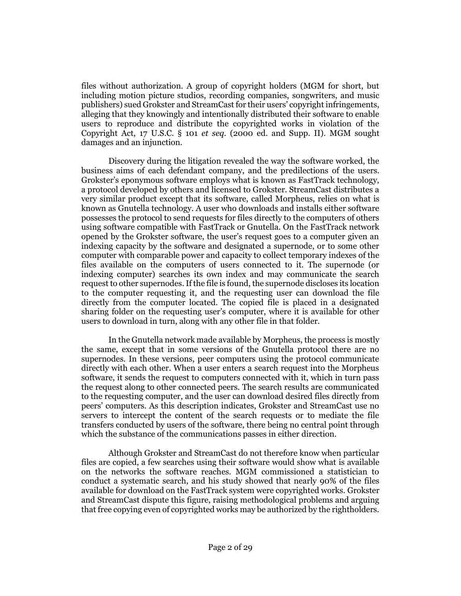files without authorization. A group of copyright holders (MGM for short, but including motion picture studios, recording companies, songwriters, and music publishers) sued Grokster and StreamCast for their users' copyright infringements, alleging that they knowingly and intentionally distributed their software to enable users to reproduce and distribute the copyrighted works in violation of the Copyright Act, [17 U.S.C. § 101](http://www.westlaw.com/Link/Document/FullText?findType=L&pubNum=1000546&cite=17USCAS101&originatingDoc=I3fb03e97e5d511d983e7e9deff98dc6f&refType=LQ&originationContext=document&vr=3.0&rs=cblt1.0&transitionType=DocumentItem&contextData=(sc.UserEnteredCitation)) *et seq.* (2000 ed. and Supp. II). MGM sought damages and an injunction.

Discovery during the litigation revealed the way the software worked, the business aims of each defendant company, and the predilections of the users. Grokster's eponymous software employs what is known as FastTrack technology, a protocol developed by others and licensed to Grokster. StreamCast distributes a very similar product except that its software, called Morpheus, relies on what is known as Gnutella technology. A user who downloads and installs either software possesses the protocol to send requests for files directly to the computers of others using software compatible with FastTrack or Gnutella. On the FastTrack network opened by the Grokster software, the user's request goes to a computer given an indexing capacity by the software and designated a supernode, or to some other computer with comparable power and capacity to collect temporary indexes of the files available on the computers of users connected to it. The supernode (or indexing computer) searches its own index and may communicate the search request to other supernodes. If the file is found, the supernode discloses its location to the computer requesting it, and the requesting user can download the file directly from the computer located. The copied file is placed in a designated sharing folder on the requesting user's computer, where it is available for other users to download in turn, along with any other file in that folder.

In the Gnutella network made available by Morpheus, the process is mostly the same, except that in some versions of the Gnutella protocol there are no supernodes. In these versions, peer computers using the protocol communicate directly with each other. When a user enters a search request into the Morpheus software, it sends the request to computers connected with it, which in turn pass the request along to other connected peers. The search results are communicated to the requesting computer, and the user can download desired files directly from peers' computers. As this description indicates, Grokster and StreamCast use no servers to intercept the content of the search requests or to mediate the file transfers conducted by users of the software, there being no central point through which the substance of the communications passes in either direction.

Although Grokster and StreamCast do not therefore know when particular files are copied, a few searches using their software would show what is available on the networks the software reaches. MGM commissioned a statistician to conduct a systematic search, and his study showed that nearly 90% of the files available for download on the FastTrack system were copyrighted works. Grokster and StreamCast dispute this figure, raising methodological problems and arguing that free copying even of copyrighted works may be authorized by the rightholders.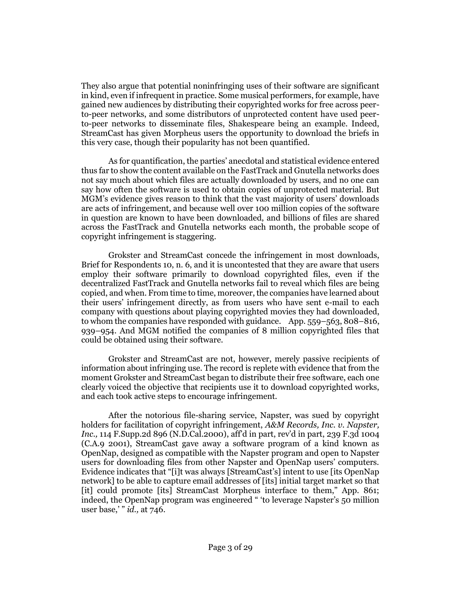They also argue that potential noninfringing uses of their software are significant in kind, even if infrequent in practice. Some musical performers, for example, have gained new audiences by distributing their copyrighted works for free across peerto-peer networks, and some distributors of unprotected content have used peerto-peer networks to disseminate files, Shakespeare being an example. Indeed, StreamCast has given Morpheus users the opportunity to download the briefs in this very case, though their popularity has not been quantified.

As for quantification, the parties' anecdotal and statistical evidence entered thus far to show the content available on the FastTrack and Gnutella networks does not say much about which files are actually downloaded by users, and no one can say how often the software is used to obtain copies of unprotected material. But MGM's evidence gives reason to think that the vast majority of users' downloads are acts of infringement, and because well over 100 million copies of the software in question are known to have been downloaded, and billions of files are shared across the FastTrack and Gnutella networks each month, the probable scope of copyright infringement is staggering.

Grokster and StreamCast concede the infringement in most downloads, Brief for Respondents 10, n. 6, and it is uncontested that they are aware that users employ their software primarily to download copyrighted files, even if the decentralized FastTrack and Gnutella networks fail to reveal which files are being copied, and when. From time to time, moreover, the companies have learned about their users' infringement directly, as from users who have sent e-mail to each company with questions about playing copyrighted movies they had downloaded, to whom the companies have responded with guidance. App. 559–563, 808–816, 939–954. And MGM notified the companies of 8 million copyrighted files that could be obtained using their software.

Grokster and StreamCast are not, however, merely passive recipients of information about infringing use. The record is replete with evidence that from the moment Grokster and StreamCast began to distribute their free software, each one clearly voiced the objective that recipients use it to download copyrighted works, and each took active steps to encourage infringement.

After the notorious file-sharing service, Napster, was sued by copyright holders for facilitation of copyright infringement, *[A&M Records, Inc. v. Napster,](http://www.westlaw.com/Link/Document/FullText?findType=Y&serNum=2000481295&pubNum=0004637&originatingDoc=I3fb03e97e5d511d983e7e9deff98dc6f&refType=RP&originationContext=document&vr=3.0&rs=cblt1.0&transitionType=DocumentItem&contextData=(sc.UserEnteredCitation))  Inc.,* [114 F.Supp.2d 896 \(N.D.Cal.2000\)](http://www.westlaw.com/Link/Document/FullText?findType=Y&serNum=2000481295&pubNum=0004637&originatingDoc=I3fb03e97e5d511d983e7e9deff98dc6f&refType=RP&originationContext=document&vr=3.0&rs=cblt1.0&transitionType=DocumentItem&contextData=(sc.UserEnteredCitation)), aff'd in part, rev'd in part, [239 F.3d 1004](http://www.westlaw.com/Link/Document/FullText?findType=Y&serNum=2001141036&pubNum=0000506&originatingDoc=I3fb03e97e5d511d983e7e9deff98dc6f&refType=RP&originationContext=document&vr=3.0&rs=cblt1.0&transitionType=DocumentItem&contextData=(sc.UserEnteredCitation))  [\(C.A.9 2001\),](http://www.westlaw.com/Link/Document/FullText?findType=Y&serNum=2001141036&pubNum=0000506&originatingDoc=I3fb03e97e5d511d983e7e9deff98dc6f&refType=RP&originationContext=document&vr=3.0&rs=cblt1.0&transitionType=DocumentItem&contextData=(sc.UserEnteredCitation)) StreamCast gave away a software program of a kind known as OpenNap, designed as compatible with the Napster program and open to Napster users for downloading files from other Napster and OpenNap users' computers. Evidence indicates that "[i]t was always [StreamCast's] intent to use [its OpenNap network] to be able to capture email addresses of [its] initial target market so that [it] could promote [its] StreamCast Morpheus interface to them," App. 861; indeed, the OpenNap program was engineered " 'to leverage Napster's 50 million user base,' " *id.,* at 746.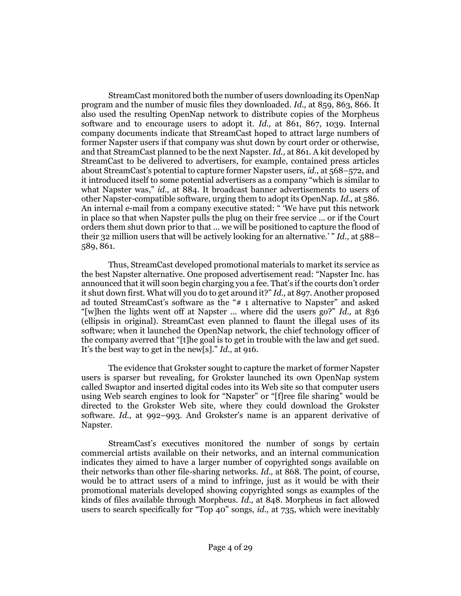StreamCast monitored both the number of users downloading its OpenNap program and the number of music files they downloaded. *Id.,* at 859, 863, 866. It also used the resulting OpenNap network to distribute copies of the Morpheus software and to encourage users to adopt it. *Id.,* at 861, 867, 1039. Internal company documents indicate that StreamCast hoped to attract large numbers of former Napster users if that company was shut down by court order or otherwise, and that StreamCast planned to be the next Napster. *Id.,* at 861. A kit developed by StreamCast to be delivered to advertisers, for example, contained press articles about StreamCast's potential to capture former Napster users, *id.,* at 568–572, and it introduced itself to some potential advertisers as a company "which is similar to what Napster was," *id.,* at 884. It broadcast banner advertisements to users of other Napster-compatible software, urging them to adopt its OpenNap. *Id.,* at 586. An internal e-mail from a company executive stated: " 'We have put this network in place so that when Napster pulls the plug on their free service ... or if the Court orders them shut down prior to that ... we will be positioned to capture the flood of their 32 million users that will be actively looking for an alternative.' " *Id.,* at 588– 589, 861.

Thus, StreamCast developed promotional materials to market its service as the best Napster alternative. One proposed advertisement read: "Napster Inc. has announced that it will soon begin charging you a fee. That's if the courts don't order it shut down first. What will you do to get around it?" *Id.,* at 897. Another proposed ad touted StreamCast's software as the "# 1 alternative to Napster" and asked "[w]hen the lights went off at Napster ... where did the users go?" *Id.,* at 836 (ellipsis in original). StreamCast even planned to flaunt the illegal uses of its software; when it launched the OpenNap network, the chief technology officer of the company averred that "[t]he goal is to get in trouble with the law and get sued. It's the best way to get in the new[s]." *Id.,* at 916.

The evidence that Grokster sought to capture the market of former Napster users is sparser but revealing, for Grokster launched its own OpenNap system called Swaptor and inserted digital codes into its Web site so that computer users using Web search engines to look for "Napster" or "[f]ree file sharing" would be directed to the Grokster Web site, where they could download the Grokster software. *Id.,* at 992–993. And Grokster's name is an apparent derivative of Napster.

StreamCast's executives monitored the number of songs by certain commercial artists available on their networks, and an internal communication indicates they aimed to have a larger number of copyrighted songs available on their networks than other file-sharing networks. *Id.,* at 868. The point, of course, would be to attract users of a mind to infringe, just as it would be with their promotional materials developed showing copyrighted songs as examples of the kinds of files available through Morpheus. *Id.,* at 848. Morpheus in fact allowed users to search specifically for "Top 40" songs, *id.,* at 735, which were inevitably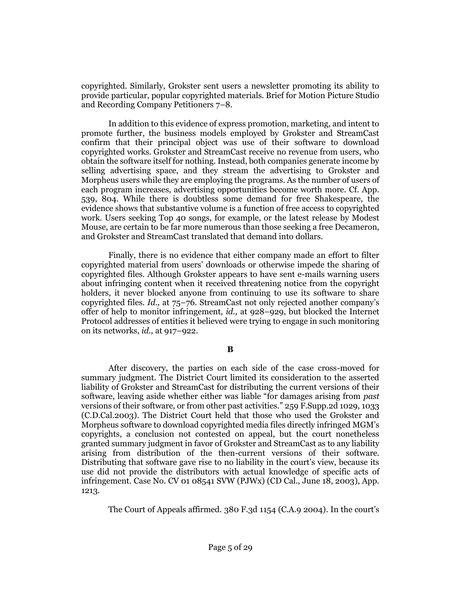copyrighted. Similarly, Grokster sent users a newsletter promoting its ability to provide particular, popular copyrighted materials. Brief for Motion Picture Studio and Recording Company Petitioners 7–8.

In addition to this evidence of express promotion, marketing, and intent to promote further, the business models employed by Grokster and StreamCast confirm that their principal object was use of their software to download copyrighted works. Grokster and StreamCast receive no revenue from users, who obtain the software itself for nothing. Instead, both companies generate income by selling advertising space, and they stream the advertising to Grokster and Morpheus users while they are employing the programs. As the number of users of each program increases, advertising opportunities become worth more. Cf. App. 539, 804. While there is doubtless some demand for free Shakespeare, the evidence shows that substantive volume is a function of free access to copyrighted work. Users seeking Top 40 songs, for example, or the latest release by Modest Mouse, are certain to be far more numerous than those seeking a free Decameron, and Grokster and StreamCast translated that demand into dollars.

Finally, there is no evidence that either company made an effort to filter copyrighted material from users' downloads or otherwise impede the sharing of copyrighted files. Although Grokster appears to have sent e-mails warning users about infringing content when it received threatening notice from the copyright holders, it never blocked anyone from continuing to use its software to share copyrighted files. *Id.,* at 75–76. StreamCast not only rejected another company's offer of help to monitor infringement, *id.,* at 928–929, but blocked the Internet Protocol addresses of entities it believed were trying to engage in such monitoring on its networks, *id.,* at 917–922.

## **B**

After discovery, the parties on each side of the case cross-moved for summary judgment. The District Court limited its consideration to the asserted liability of Grokster and StreamCast for distributing the current versions of their software, leaving aside whether either was liable "for damages arising from *past* versions of their software, or from other past activities." [259 F.Supp.2d 1029, 1033](http://www.westlaw.com/Link/Document/FullText?findType=Y&serNum=2003323691&pubNum=0004637&originatingDoc=I3fb03e97e5d511d983e7e9deff98dc6f&refType=RP&fi=co_pp_sp_4637_1033&originationContext=document&vr=3.0&rs=cblt1.0&transitionType=DocumentItem&contextData=(sc.UserEnteredCitation)#co_pp_sp_4637_1033)  [\(C.D.Cal.2003\).](http://www.westlaw.com/Link/Document/FullText?findType=Y&serNum=2003323691&pubNum=0004637&originatingDoc=I3fb03e97e5d511d983e7e9deff98dc6f&refType=RP&fi=co_pp_sp_4637_1033&originationContext=document&vr=3.0&rs=cblt1.0&transitionType=DocumentItem&contextData=(sc.UserEnteredCitation)#co_pp_sp_4637_1033) The District Court held that those who used the Grokster and Morpheus software to download copyrighted media files directly infringed MGM's copyrights, a conclusion not contested on appeal, but the court nonetheless granted summary judgment in favor of Grokster and StreamCast as to any liability arising from distribution of the then-current versions of their software. Distributing that software gave rise to no liability in the court's view, because its use did not provide the distributors with actual knowledge of specific acts of infringement. Case No. CV 01 08541 SVW (PJWx) (CD Cal., June 18, 2003), App. 1213.

The Court of Appeals affirmed. [380 F.3d 1154 \(C.A.9 2004\)](http://www.westlaw.com/Link/Document/FullText?findType=Y&serNum=2004896042&pubNum=0000506&originatingDoc=I3fb03e97e5d511d983e7e9deff98dc6f&refType=RP&originationContext=document&vr=3.0&rs=cblt1.0&transitionType=DocumentItem&contextData=(sc.UserEnteredCitation)). In the court's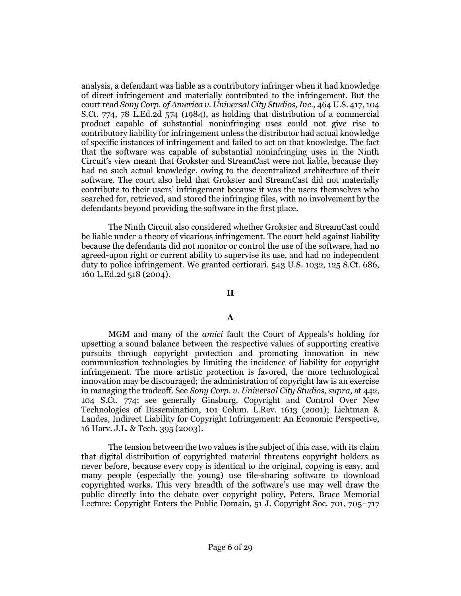analysis, a defendant was liable as a contributory infringer when it had knowledge of direct infringement and materially contributed to the infringement. But the court read *[Sony Corp. of America v. Universal City Studios, Inc.,](http://www.westlaw.com/Link/Document/FullText?findType=Y&serNum=1984103021&pubNum=0000708&originatingDoc=I3fb03e97e5d511d983e7e9deff98dc6f&refType=RP&originationContext=document&vr=3.0&rs=cblt1.0&transitionType=DocumentItem&contextData=(sc.UserEnteredCitation))* 464 U.S. 417, 104 [S.Ct. 774, 78 L.Ed.2d 574 \(1984\),](http://www.westlaw.com/Link/Document/FullText?findType=Y&serNum=1984103021&pubNum=0000708&originatingDoc=I3fb03e97e5d511d983e7e9deff98dc6f&refType=RP&originationContext=document&vr=3.0&rs=cblt1.0&transitionType=DocumentItem&contextData=(sc.UserEnteredCitation)) as holding that distribution of a commercial product capable of substantial noninfringing uses could not give rise to contributory liability for infringement unless the distributor had actual knowledge of specific instances of infringement and failed to act on that knowledge. The fact that the software was capable of substantial noninfringing uses in the Ninth Circuit's view meant that Grokster and StreamCast were not liable, because they had no such actual knowledge, owing to the decentralized architecture of their software. The court also held that Grokster and StreamCast did not materially contribute to their users' infringement because it was the users themselves who searched for, retrieved, and stored the infringing files, with no involvement by the defendants beyond providing the software in the first place.

The Ninth Circuit also considered whether Grokster and StreamCast could be liable under a theory of vicarious infringement. The court held against liability because the defendants did not monitor or control the use of the software, had no agreed-upon right or current ability to supervise its use, and had no independent duty to police infringement. We granted certiorari. [543 U.S. 1032, 125 S.Ct. 686,](http://www.westlaw.com/Link/Document/FullText?findType=Y&pubNum=0000708&cite=125SCT686&originatingDoc=I3fb03e97e5d511d983e7e9deff98dc6f&refType=RP&originationContext=document&vr=3.0&rs=cblt1.0&transitionType=DocumentItem&contextData=(sc.UserEnteredCitation))  [160 L.Ed.2d 518 \(2004\).](http://www.westlaw.com/Link/Document/FullText?findType=Y&pubNum=0000708&cite=125SCT686&originatingDoc=I3fb03e97e5d511d983e7e9deff98dc6f&refType=RP&originationContext=document&vr=3.0&rs=cblt1.0&transitionType=DocumentItem&contextData=(sc.UserEnteredCitation))

#### **II**

## **A**

MGM and many of the *amici* fault the Court of Appeals's holding for upsetting a sound balance between the respective values of supporting creative pursuits through copyright protection and promoting innovation in new communication technologies by limiting the incidence of liability for copyright infringement. The more artistic protection is favored, the more technological innovation may be discouraged; the administration of copyright law is an exercise in managing the tradeoff. See *[Sony Corp. v. Universal City Studios, supra,](http://www.westlaw.com/Link/Document/FullText?findType=Y&serNum=1984103021&pubNum=708&originatingDoc=I3fb03e97e5d511d983e7e9deff98dc6f&refType=RP&originationContext=document&vr=3.0&rs=cblt1.0&transitionType=DocumentItem&contextData=(sc.UserEnteredCitation))* at 442, [104 S.Ct. 774;](http://www.westlaw.com/Link/Document/FullText?findType=Y&serNum=1984103021&pubNum=708&originatingDoc=I3fb03e97e5d511d983e7e9deff98dc6f&refType=RP&originationContext=document&vr=3.0&rs=cblt1.0&transitionType=DocumentItem&contextData=(sc.UserEnteredCitation)) see generally Ginsburg, [Copyright and Control Over New](http://www.westlaw.com/Link/Document/FullText?findType=Y&serNum=0287271418&pubNum=0003050&originatingDoc=I3fb03e97e5d511d983e7e9deff98dc6f&refType=LR&originationContext=document&vr=3.0&rs=cblt1.0&transitionType=DocumentItem&contextData=(sc.UserEnteredCitation))  [Technologies of Dissemination, 101 Colum. L.Rev. 1613 \(2001\);](http://www.westlaw.com/Link/Document/FullText?findType=Y&serNum=0287271418&pubNum=0003050&originatingDoc=I3fb03e97e5d511d983e7e9deff98dc6f&refType=LR&originationContext=document&vr=3.0&rs=cblt1.0&transitionType=DocumentItem&contextData=(sc.UserEnteredCitation)) Lichtman & Landes, [Indirect Liability for Copyright Infringement: An Economic Perspective,](http://www.westlaw.com/Link/Document/FullText?findType=Y&serNum=0295726696&pubNum=0003180&originatingDoc=I3fb03e97e5d511d983e7e9deff98dc6f&refType=LR&originationContext=document&vr=3.0&rs=cblt1.0&transitionType=DocumentItem&contextData=(sc.UserEnteredCitation))  [16 Harv. J.L. & Tech. 395 \(2003\).](http://www.westlaw.com/Link/Document/FullText?findType=Y&serNum=0295726696&pubNum=0003180&originatingDoc=I3fb03e97e5d511d983e7e9deff98dc6f&refType=LR&originationContext=document&vr=3.0&rs=cblt1.0&transitionType=DocumentItem&contextData=(sc.UserEnteredCitation))

The tension between the two values is the subject of this case, with its claim that digital distribution of copyrighted material threatens copyright holders as never before, because every copy is identical to the original, copying is easy, and many people (especially the young) use file-sharing software to download copyrighted works. This very breadth of the software's use may well draw the public directly into the debate over copyright policy, Peters, [Brace Memorial](http://www.westlaw.com/Link/Document/FullText?findType=Y&serNum=0303927250&pubNum=0001170&originatingDoc=I3fb03e97e5d511d983e7e9deff98dc6f&refType=LR&fi=co_pp_sp_1170_705&originationContext=document&vr=3.0&rs=cblt1.0&transitionType=DocumentItem&contextData=(sc.UserEnteredCitation)#co_pp_sp_1170_705)  [Lecture: Copyright Enters the Public Domain, 51 J. Copyright Soc. 701, 705](http://www.westlaw.com/Link/Document/FullText?findType=Y&serNum=0303927250&pubNum=0001170&originatingDoc=I3fb03e97e5d511d983e7e9deff98dc6f&refType=LR&fi=co_pp_sp_1170_705&originationContext=document&vr=3.0&rs=cblt1.0&transitionType=DocumentItem&contextData=(sc.UserEnteredCitation)#co_pp_sp_1170_705)–717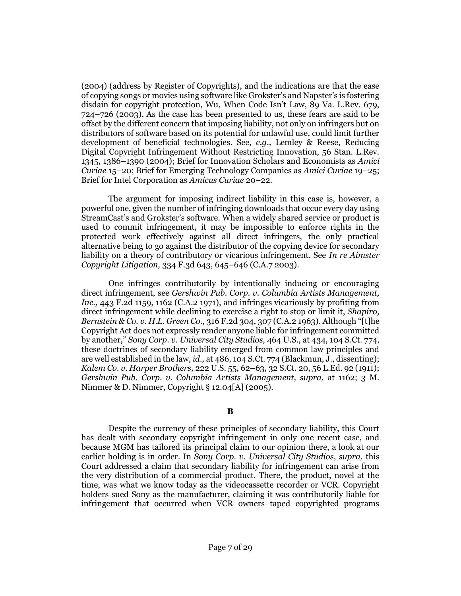[\(2004\)](http://www.westlaw.com/Link/Document/FullText?findType=Y&serNum=0303927250&pubNum=0001170&originatingDoc=I3fb03e97e5d511d983e7e9deff98dc6f&refType=LR&fi=co_pp_sp_1170_705&originationContext=document&vr=3.0&rs=cblt1.0&transitionType=DocumentItem&contextData=(sc.UserEnteredCitation)#co_pp_sp_1170_705) (address by Register of Copyrights), and the indications are that the ease of copying songs or movies using software like Grokster's and Napster's is fostering disdain for copyright protection, Wu, [When Code Isn't Law, 89 Va. L.Rev. 679,](http://www.westlaw.com/Link/Document/FullText?findType=Y&serNum=0294591939&pubNum=0001359&originatingDoc=I3fb03e97e5d511d983e7e9deff98dc6f&refType=LR&fi=co_pp_sp_1359_724&originationContext=document&vr=3.0&rs=cblt1.0&transitionType=DocumentItem&contextData=(sc.UserEnteredCitation)#co_pp_sp_1359_724)  724–[726 \(2003\).](http://www.westlaw.com/Link/Document/FullText?findType=Y&serNum=0294591939&pubNum=0001359&originatingDoc=I3fb03e97e5d511d983e7e9deff98dc6f&refType=LR&fi=co_pp_sp_1359_724&originationContext=document&vr=3.0&rs=cblt1.0&transitionType=DocumentItem&contextData=(sc.UserEnteredCitation)#co_pp_sp_1359_724) As the case has been presented to us, these fears are said to be offset by the different concern that imposing liability, not only on infringers but on distributors of software based on its potential for unlawful use, could limit further development of beneficial technologies. See, *e.g.,* Lemley & Reese, [Reducing](http://www.westlaw.com/Link/Document/FullText?findType=Y&serNum=0300353025&pubNum=0001239&originatingDoc=I3fb03e97e5d511d983e7e9deff98dc6f&refType=LR&fi=co_pp_sp_1239_1386&originationContext=document&vr=3.0&rs=cblt1.0&transitionType=DocumentItem&contextData=(sc.UserEnteredCitation)#co_pp_sp_1239_1386)  [Digital Copyright Infringement Without Restricting Innovation, 56 Stan. L.Rev.](http://www.westlaw.com/Link/Document/FullText?findType=Y&serNum=0300353025&pubNum=0001239&originatingDoc=I3fb03e97e5d511d983e7e9deff98dc6f&refType=LR&fi=co_pp_sp_1239_1386&originationContext=document&vr=3.0&rs=cblt1.0&transitionType=DocumentItem&contextData=(sc.UserEnteredCitation)#co_pp_sp_1239_1386)  1345, 1386–[1390 \(2004\);](http://www.westlaw.com/Link/Document/FullText?findType=Y&serNum=0300353025&pubNum=0001239&originatingDoc=I3fb03e97e5d511d983e7e9deff98dc6f&refType=LR&fi=co_pp_sp_1239_1386&originationContext=document&vr=3.0&rs=cblt1.0&transitionType=DocumentItem&contextData=(sc.UserEnteredCitation)#co_pp_sp_1239_1386) Brief for Innovation Scholars and Economists as *Amici Curiae* 15–20; Brief for Emerging Technology Companies as *Amici Curiae* 19–25; Brief for Intel Corporation as *Amicus Curiae* 20–22.

The argument for imposing indirect liability in this case is, however, a powerful one, given the number of infringing downloads that occur every day using StreamCast's and Grokster's software. When a widely shared service or product is used to commit infringement, it may be impossible to enforce rights in the protected work effectively against all direct infringers, the only practical alternative being to go against the distributor of the copying device for secondary liability on a theory of contributory or vicarious infringement. See *[In re Aimster](http://www.westlaw.com/Link/Document/FullText?findType=Y&serNum=2003460063&pubNum=0000506&originatingDoc=I3fb03e97e5d511d983e7e9deff98dc6f&refType=RP&fi=co_pp_sp_506_645&originationContext=document&vr=3.0&rs=cblt1.0&transitionType=DocumentItem&contextData=(sc.UserEnteredCitation)#co_pp_sp_506_645)  [Copyright Litigation,](http://www.westlaw.com/Link/Document/FullText?findType=Y&serNum=2003460063&pubNum=0000506&originatingDoc=I3fb03e97e5d511d983e7e9deff98dc6f&refType=RP&fi=co_pp_sp_506_645&originationContext=document&vr=3.0&rs=cblt1.0&transitionType=DocumentItem&contextData=(sc.UserEnteredCitation)#co_pp_sp_506_645)* 334 F.3d 643, 645–646 (C.A.7 2003).

One infringes contributorily by intentionally inducing or encouraging direct infringement, see *[Gershwin Pub. Corp. v. Columbia Artists Management,](http://www.westlaw.com/Link/Document/FullText?findType=Y&serNum=1971110796&pubNum=0000350&originatingDoc=I3fb03e97e5d511d983e7e9deff98dc6f&refType=RP&fi=co_pp_sp_350_1162&originationContext=document&vr=3.0&rs=cblt1.0&transitionType=DocumentItem&contextData=(sc.UserEnteredCitation)#co_pp_sp_350_1162)  Inc.,* [443 F.2d 1159, 1162 \(C.A.2 1971\),](http://www.westlaw.com/Link/Document/FullText?findType=Y&serNum=1971110796&pubNum=0000350&originatingDoc=I3fb03e97e5d511d983e7e9deff98dc6f&refType=RP&fi=co_pp_sp_350_1162&originationContext=document&vr=3.0&rs=cblt1.0&transitionType=DocumentItem&contextData=(sc.UserEnteredCitation)#co_pp_sp_350_1162) and infringes vicariously by profiting from direct infringement while declining to exercise a right to stop or limit it, *[Shapiro,](http://www.westlaw.com/Link/Document/FullText?findType=Y&serNum=1963114430&pubNum=0000350&originatingDoc=I3fb03e97e5d511d983e7e9deff98dc6f&refType=RP&fi=co_pp_sp_350_307&originationContext=document&vr=3.0&rs=cblt1.0&transitionType=DocumentItem&contextData=(sc.UserEnteredCitation)#co_pp_sp_350_307)  [Bernstein & Co. v. H.L. Green Co.,](http://www.westlaw.com/Link/Document/FullText?findType=Y&serNum=1963114430&pubNum=0000350&originatingDoc=I3fb03e97e5d511d983e7e9deff98dc6f&refType=RP&fi=co_pp_sp_350_307&originationContext=document&vr=3.0&rs=cblt1.0&transitionType=DocumentItem&contextData=(sc.UserEnteredCitation)#co_pp_sp_350_307)* 316 F.2d 304, 307 (C.A.2 1963). Although "[t]he Copyright Act does not expressly render anyone liable for infringement committed by another," *[Sony Corp. v. Universal City Studios,](http://www.westlaw.com/Link/Document/FullText?findType=Y&serNum=1984103021&pubNum=708&originatingDoc=I3fb03e97e5d511d983e7e9deff98dc6f&refType=RP&originationContext=document&vr=3.0&rs=cblt1.0&transitionType=DocumentItem&contextData=(sc.UserEnteredCitation))* 464 U.S., at 434, 104 S.Ct. 774, these doctrines of secondary liability emerged from common law principles and are well established in the law, *id.,* [at 486, 104 S.Ct. 774](http://www.westlaw.com/Link/Document/FullText?findType=Y&serNum=1984103021&pubNum=708&originatingDoc=I3fb03e97e5d511d983e7e9deff98dc6f&refType=RP&originationContext=document&vr=3.0&rs=cblt1.0&transitionType=DocumentItem&contextData=(sc.UserEnteredCitation)) (Blackmun, J., dissenting); *Kalem Co. v. Harper Brothers,* 222 U.S. 55, 62–[63, 32 S.Ct. 20, 56 L.Ed. 92 \(1911\);](http://www.westlaw.com/Link/Document/FullText?findType=Y&serNum=1911103525&pubNum=0000708&originatingDoc=I3fb03e97e5d511d983e7e9deff98dc6f&refType=RP&originationContext=document&vr=3.0&rs=cblt1.0&transitionType=DocumentItem&contextData=(sc.UserEnteredCitation)) *Gershwin Pub. Corp. v. Columbia Artists Management, supra,* at 1162; 3 M. Nimmer & D. Nimmer, Copyright  $\S 12.04[A] (2005)$ .

## **B**

Despite the currency of these principles of secondary liability, this Court has dealt with secondary copyright infringement in only one recent case, and because MGM has tailored its principal claim to our opinion there, a look at our earlier holding is in order. In *[Sony Corp. v. Universal City Studios, supra,](http://www.westlaw.com/Link/Document/FullText?findType=Y&serNum=1984103021&pubNum=708&originatingDoc=I3fb03e97e5d511d983e7e9deff98dc6f&refType=CC&originationContext=document&vr=3.0&rs=cblt1.0&transitionType=DocumentItem&contextData=(sc.UserEnteredCitation))* this Court addressed a claim that secondary liability for infringement can arise from the very distribution of a commercial product. There, the product, novel at the time, was what we know today as the videocassette recorder or VCR. Copyright holders sued Sony as the manufacturer, claiming it was contributorily liable for infringement that occurred when VCR owners taped copyrighted programs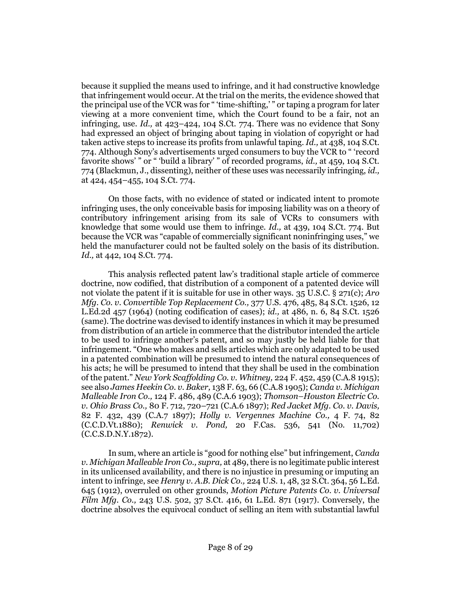because it supplied the means used to infringe, and it had constructive knowledge that infringement would occur. At the trial on the merits, the evidence showed that the principal use of the VCR was for " 'time-shifting,' " or taping a program for later viewing at a more convenient time, which the Court found to be a fair, not an infringing, use. *Id.,* at 423–[424, 104 S.Ct. 774.](http://www.westlaw.com/Link/Document/FullText?findType=Y&serNum=1984103021&pubNum=708&originatingDoc=I3fb03e97e5d511d983e7e9deff98dc6f&refType=RP&originationContext=document&vr=3.0&rs=cblt1.0&transitionType=DocumentItem&contextData=(sc.UserEnteredCitation)) There was no evidence that Sony had expressed an object of bringing about taping in violation of copyright or had taken active steps to increase its profits from unlawful taping. *Id.,* [at 438, 104 S.Ct.](http://www.westlaw.com/Link/Document/FullText?findType=Y&serNum=1984103021&pubNum=708&originatingDoc=I3fb03e97e5d511d983e7e9deff98dc6f&refType=RP&originationContext=document&vr=3.0&rs=cblt1.0&transitionType=DocumentItem&contextData=(sc.UserEnteredCitation))  [774.](http://www.westlaw.com/Link/Document/FullText?findType=Y&serNum=1984103021&pubNum=708&originatingDoc=I3fb03e97e5d511d983e7e9deff98dc6f&refType=RP&originationContext=document&vr=3.0&rs=cblt1.0&transitionType=DocumentItem&contextData=(sc.UserEnteredCitation)) Although Sony's advertisements urged consumers to buy the VCR to " 'record favorite shows' " or " 'build a library' " of recorded programs, *id.,* [at 459, 104 S.Ct.](http://www.westlaw.com/Link/Document/FullText?findType=Y&serNum=1984103021&pubNum=708&originatingDoc=I3fb03e97e5d511d983e7e9deff98dc6f&refType=RP&originationContext=document&vr=3.0&rs=cblt1.0&transitionType=DocumentItem&contextData=(sc.UserEnteredCitation))  [774](http://www.westlaw.com/Link/Document/FullText?findType=Y&serNum=1984103021&pubNum=708&originatingDoc=I3fb03e97e5d511d983e7e9deff98dc6f&refType=RP&originationContext=document&vr=3.0&rs=cblt1.0&transitionType=DocumentItem&contextData=(sc.UserEnteredCitation)) (Blackmun, J., dissenting), neither of these uses was necessarily infringing, *[id.,](http://www.westlaw.com/Link/Document/FullText?findType=Y&serNum=1984103021&pubNum=708&originatingDoc=I3fb03e97e5d511d983e7e9deff98dc6f&refType=RP&originationContext=document&vr=3.0&rs=cblt1.0&transitionType=DocumentItem&contextData=(sc.UserEnteredCitation))* at 424, 454–[455, 104 S.Ct. 774.](http://www.westlaw.com/Link/Document/FullText?findType=Y&serNum=1984103021&pubNum=708&originatingDoc=I3fb03e97e5d511d983e7e9deff98dc6f&refType=RP&originationContext=document&vr=3.0&rs=cblt1.0&transitionType=DocumentItem&contextData=(sc.UserEnteredCitation))

On those facts, with no evidence of stated or indicated intent to promote infringing uses, the only conceivable basis for imposing liability was on a theory of contributory infringement arising from its sale of VCRs to consumers with knowledge that some would use them to infringe. *Id.,* [at 439, 104 S.Ct. 774.](http://www.westlaw.com/Link/Document/FullText?findType=Y&serNum=1984103021&pubNum=708&originatingDoc=I3fb03e97e5d511d983e7e9deff98dc6f&refType=RP&originationContext=document&vr=3.0&rs=cblt1.0&transitionType=DocumentItem&contextData=(sc.UserEnteredCitation)) But because the VCR was "capable of commercially significant noninfringing uses," we held the manufacturer could not be faulted solely on the basis of its distribution. *Id.,* [at 442, 104 S.Ct. 774.](http://www.westlaw.com/Link/Document/FullText?findType=Y&serNum=1984103021&pubNum=708&originatingDoc=I3fb03e97e5d511d983e7e9deff98dc6f&refType=RP&originationContext=document&vr=3.0&rs=cblt1.0&transitionType=DocumentItem&contextData=(sc.UserEnteredCitation))

This analysis reflected patent law's traditional staple article of commerce doctrine, now codified, that distribution of a component of a patented device will not violate the patent if it is suitable for use in other ways. [35 U.S.C. § 271\(c\);](http://www.westlaw.com/Link/Document/FullText?findType=L&pubNum=1000546&cite=35USCAS271&originatingDoc=I3fb03e97e5d511d983e7e9deff98dc6f&refType=RB&originationContext=document&vr=3.0&rs=cblt1.0&transitionType=DocumentItem&contextData=(sc.UserEnteredCitation)#co_pp_4b24000003ba5) *[Aro](http://www.westlaw.com/Link/Document/FullText?findType=Y&serNum=1964124852&pubNum=0000708&originatingDoc=I3fb03e97e5d511d983e7e9deff98dc6f&refType=RP&originationContext=document&vr=3.0&rs=cblt1.0&transitionType=DocumentItem&contextData=(sc.UserEnteredCitation))  [Mfg. Co. v. Convertible Top Replacement Co.,](http://www.westlaw.com/Link/Document/FullText?findType=Y&serNum=1964124852&pubNum=0000708&originatingDoc=I3fb03e97e5d511d983e7e9deff98dc6f&refType=RP&originationContext=document&vr=3.0&rs=cblt1.0&transitionType=DocumentItem&contextData=(sc.UserEnteredCitation))* 377 U.S. 476, 485, 84 S.Ct. 1526, 12 [L.Ed.2d 457 \(1964\)](http://www.westlaw.com/Link/Document/FullText?findType=Y&serNum=1964124852&pubNum=0000708&originatingDoc=I3fb03e97e5d511d983e7e9deff98dc6f&refType=RP&originationContext=document&vr=3.0&rs=cblt1.0&transitionType=DocumentItem&contextData=(sc.UserEnteredCitation)) (noting codification of cases); *id.,* [at 486, n. 6, 84 S.Ct. 1526](http://www.westlaw.com/Link/Document/FullText?findType=Y&serNum=1964124852&pubNum=708&originatingDoc=I3fb03e97e5d511d983e7e9deff98dc6f&refType=RP&originationContext=document&vr=3.0&rs=cblt1.0&transitionType=DocumentItem&contextData=(sc.UserEnteredCitation)) (same). The doctrine was devised to identify instances in which it may be presumed from distribution of an article in commerce that the distributor intended the article to be used to infringe another's patent, and so may justly be held liable for that infringement. "One who makes and sells articles which are only adapted to be used in a patented combination will be presumed to intend the natural consequences of his acts; he will be presumed to intend that they shall be used in the combination of the patent." *[New York Scaffolding Co. v. Whitney,](http://www.westlaw.com/Link/Document/FullText?findType=Y&serNum=1915101232&pubNum=0000348&originatingDoc=I3fb03e97e5d511d983e7e9deff98dc6f&refType=RP&fi=co_pp_sp_348_459&originationContext=document&vr=3.0&rs=cblt1.0&transitionType=DocumentItem&contextData=(sc.UserEnteredCitation)#co_pp_sp_348_459)* 224 F. 452, 459 (C.A.8 1915); see also *[James Heekin Co. v. Baker,](http://www.westlaw.com/Link/Document/FullText?findType=Y&serNum=1905100621&pubNum=0000348&originatingDoc=I3fb03e97e5d511d983e7e9deff98dc6f&refType=RP&fi=co_pp_sp_348_66&originationContext=document&vr=3.0&rs=cblt1.0&transitionType=DocumentItem&contextData=(sc.UserEnteredCitation)#co_pp_sp_348_66)* 138 F. 63, 66 (C.A.8 1905); *[Canda v. Michigan](http://www.westlaw.com/Link/Document/FullText?findType=Y&serNum=1903102153&pubNum=0000348&originatingDoc=I3fb03e97e5d511d983e7e9deff98dc6f&refType=RP&fi=co_pp_sp_348_489&originationContext=document&vr=3.0&rs=cblt1.0&transitionType=DocumentItem&contextData=(sc.UserEnteredCitation)#co_pp_sp_348_489)  Malleable Iron Co.,* [124 F. 486, 489 \(C.A.6 1903\);](http://www.westlaw.com/Link/Document/FullText?findType=Y&serNum=1903102153&pubNum=0000348&originatingDoc=I3fb03e97e5d511d983e7e9deff98dc6f&refType=RP&fi=co_pp_sp_348_489&originationContext=document&vr=3.0&rs=cblt1.0&transitionType=DocumentItem&contextData=(sc.UserEnteredCitation)#co_pp_sp_348_489) *Thomson–[Houston Electric Co.](http://www.westlaw.com/Link/Document/FullText?findType=Y&serNum=1897149087&pubNum=0000348&originatingDoc=I3fb03e97e5d511d983e7e9deff98dc6f&refType=RP&fi=co_pp_sp_348_720&originationContext=document&vr=3.0&rs=cblt1.0&transitionType=DocumentItem&contextData=(sc.UserEnteredCitation)#co_pp_sp_348_720)  [v. Ohio Brass Co.,](http://www.westlaw.com/Link/Document/FullText?findType=Y&serNum=1897149087&pubNum=0000348&originatingDoc=I3fb03e97e5d511d983e7e9deff98dc6f&refType=RP&fi=co_pp_sp_348_720&originationContext=document&vr=3.0&rs=cblt1.0&transitionType=DocumentItem&contextData=(sc.UserEnteredCitation)#co_pp_sp_348_720)* 80 F. 712, 720–721 (C.A.6 1897); *[Red Jacket Mfg. Co. v. Davis,](http://www.westlaw.com/Link/Document/FullText?findType=Y&serNum=1897148855&pubNum=0000348&originatingDoc=I3fb03e97e5d511d983e7e9deff98dc6f&refType=RP&fi=co_pp_sp_348_439&originationContext=document&vr=3.0&rs=cblt1.0&transitionType=DocumentItem&contextData=(sc.UserEnteredCitation)#co_pp_sp_348_439)* [82 F. 432, 439 \(C.A.7 1897\);](http://www.westlaw.com/Link/Document/FullText?findType=Y&serNum=1897148855&pubNum=0000348&originatingDoc=I3fb03e97e5d511d983e7e9deff98dc6f&refType=RP&fi=co_pp_sp_348_439&originationContext=document&vr=3.0&rs=cblt1.0&transitionType=DocumentItem&contextData=(sc.UserEnteredCitation)#co_pp_sp_348_439) *[Holly v. Vergennes Machine Co.,](http://www.westlaw.com/Link/Document/FullText?findType=Y&serNum=1880153012&pubNum=0000348&originatingDoc=I3fb03e97e5d511d983e7e9deff98dc6f&refType=RP&fi=co_pp_sp_348_82&originationContext=document&vr=3.0&rs=cblt1.0&transitionType=DocumentItem&contextData=(sc.UserEnteredCitation)#co_pp_sp_348_82)* 4 F. 74, 82 [\(C.C.D.Vt.1880\);](http://www.westlaw.com/Link/Document/FullText?findType=Y&serNum=1880153012&pubNum=0000348&originatingDoc=I3fb03e97e5d511d983e7e9deff98dc6f&refType=RP&fi=co_pp_sp_348_82&originationContext=document&vr=3.0&rs=cblt1.0&transitionType=DocumentItem&contextData=(sc.UserEnteredCitation)#co_pp_sp_348_82) *Renwick v. Pond,* 20 F.Cas. 536, 541 (No. 11,702) (C.C.S.D.N.Y.1872).

In sum, where an article is "good for nothing else" but infringement, *Canda v. Michigan Malleable Iron Co., supra,* at 489, there is no legitimate public interest in its unlicensed availability, and there is no injustice in presuming or imputing an intent to infringe, see *Henry v. A.B. Dick Co.,* [224 U.S. 1, 48, 32 S.Ct. 364, 56 L.Ed.](http://www.westlaw.com/Link/Document/FullText?findType=Y&serNum=1912100444&pubNum=0000708&originatingDoc=I3fb03e97e5d511d983e7e9deff98dc6f&refType=RP&originationContext=document&vr=3.0&rs=cblt1.0&transitionType=DocumentItem&contextData=(sc.UserEnteredCitation))  [645 \(1912\),](http://www.westlaw.com/Link/Document/FullText?findType=Y&serNum=1912100444&pubNum=0000708&originatingDoc=I3fb03e97e5d511d983e7e9deff98dc6f&refType=RP&originationContext=document&vr=3.0&rs=cblt1.0&transitionType=DocumentItem&contextData=(sc.UserEnteredCitation)) overruled on other grounds, *[Motion Picture Patents Co. v. Universal](http://www.westlaw.com/Link/Document/FullText?findType=Y&serNum=1917100447&pubNum=0000708&originatingDoc=I3fb03e97e5d511d983e7e9deff98dc6f&refType=RP&originationContext=document&vr=3.0&rs=cblt1.0&transitionType=DocumentItem&contextData=(sc.UserEnteredCitation))  Film Mfg. Co.,* [243 U.S. 502, 37 S.Ct. 416, 61 L.Ed. 871 \(1917\).](http://www.westlaw.com/Link/Document/FullText?findType=Y&serNum=1917100447&pubNum=0000708&originatingDoc=I3fb03e97e5d511d983e7e9deff98dc6f&refType=RP&originationContext=document&vr=3.0&rs=cblt1.0&transitionType=DocumentItem&contextData=(sc.UserEnteredCitation)) Conversely, the doctrine absolves the equivocal conduct of selling an item with substantial lawful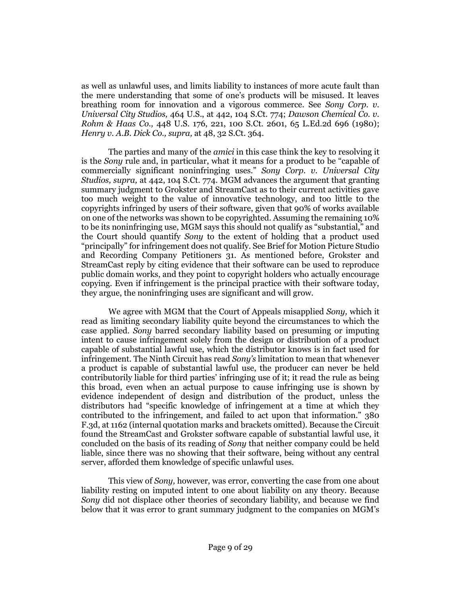as well as unlawful uses, and limits liability to instances of more acute fault than the mere understanding that some of one's products will be misused. It leaves breathing room for innovation and a vigorous commerce. See *[Sony Corp. v.](http://www.westlaw.com/Link/Document/FullText?findType=Y&serNum=1984103021&pubNum=708&originatingDoc=I3fb03e97e5d511d983e7e9deff98dc6f&refType=RP&originationContext=document&vr=3.0&rs=cblt1.0&transitionType=DocumentItem&contextData=(sc.UserEnteredCitation))  Universal City Studios,* [464 U.S., at 442, 104 S.Ct. 774;](http://www.westlaw.com/Link/Document/FullText?findType=Y&serNum=1984103021&pubNum=708&originatingDoc=I3fb03e97e5d511d983e7e9deff98dc6f&refType=RP&originationContext=document&vr=3.0&rs=cblt1.0&transitionType=DocumentItem&contextData=(sc.UserEnteredCitation)) *[Dawson Chemical Co. v.](http://www.westlaw.com/Link/Document/FullText?findType=Y&serNum=1980116803&pubNum=0000708&originatingDoc=I3fb03e97e5d511d983e7e9deff98dc6f&refType=RP&originationContext=document&vr=3.0&rs=cblt1.0&transitionType=DocumentItem&contextData=(sc.UserEnteredCitation))  Rohm & Haas Co.,* [448 U.S. 176, 221, 100 S.Ct. 2601, 65 L.Ed.2d 696 \(1980\);](http://www.westlaw.com/Link/Document/FullText?findType=Y&serNum=1980116803&pubNum=0000708&originatingDoc=I3fb03e97e5d511d983e7e9deff98dc6f&refType=RP&originationContext=document&vr=3.0&rs=cblt1.0&transitionType=DocumentItem&contextData=(sc.UserEnteredCitation)) *[Henry v. A.B. Dick Co., supra,](http://www.westlaw.com/Link/Document/FullText?findType=Y&serNum=1912100444&pubNum=708&originatingDoc=I3fb03e97e5d511d983e7e9deff98dc6f&refType=RP&originationContext=document&vr=3.0&rs=cblt1.0&transitionType=DocumentItem&contextData=(sc.UserEnteredCitation))* at 48, 32 S.Ct. 364.

The parties and many of the *amici* in this case think the key to resolving it is the *[Sony](http://www.westlaw.com/Link/Document/FullText?findType=Y&serNum=1984103021&pubNum=708&originatingDoc=I3fb03e97e5d511d983e7e9deff98dc6f&refType=CC&originationContext=document&vr=3.0&rs=cblt1.0&transitionType=DocumentItem&contextData=(sc.UserEnteredCitation))* rule and, in particular, what it means for a product to be "capable of commercially significant noninfringing uses." *[Sony Corp. v. Universal City](http://www.westlaw.com/Link/Document/FullText?findType=Y&serNum=1984103021&pubNum=708&originatingDoc=I3fb03e97e5d511d983e7e9deff98dc6f&refType=RP&originationContext=document&vr=3.0&rs=cblt1.0&transitionType=DocumentItem&contextData=(sc.UserEnteredCitation))  Studios, supra,* [at 442, 104 S.Ct. 774.](http://www.westlaw.com/Link/Document/FullText?findType=Y&serNum=1984103021&pubNum=708&originatingDoc=I3fb03e97e5d511d983e7e9deff98dc6f&refType=RP&originationContext=document&vr=3.0&rs=cblt1.0&transitionType=DocumentItem&contextData=(sc.UserEnteredCitation)) MGM advances the argument that granting summary judgment to Grokster and StreamCast as to their current activities gave too much weight to the value of innovative technology, and too little to the copyrights infringed by users of their software, given that 90% of works available on one of the networks was shown to be copyrighted. Assuming the remaining 10% to be its noninfringing use, MGM says this should not qualify as "substantial," and the Court should quantify *[Sony](http://www.westlaw.com/Link/Document/FullText?findType=Y&serNum=1984103021&pubNum=708&originatingDoc=I3fb03e97e5d511d983e7e9deff98dc6f&refType=CC&originationContext=document&vr=3.0&rs=cblt1.0&transitionType=DocumentItem&contextData=(sc.UserEnteredCitation))* to the extent of holding that a product used "principally" for infringement does not qualify. See Brief for Motion Picture Studio and Recording Company Petitioners 31. As mentioned before, Grokster and StreamCast reply by citing evidence that their software can be used to reproduce public domain works, and they point to copyright holders who actually encourage copying. Even if infringement is the principal practice with their software today, they argue, the noninfringing uses are significant and will grow.

We agree with MGM that the Court of Appeals misapplied *[Sony,](http://www.westlaw.com/Link/Document/FullText?findType=Y&serNum=1984103021&pubNum=708&originatingDoc=I3fb03e97e5d511d983e7e9deff98dc6f&refType=CC&originationContext=document&vr=3.0&rs=cblt1.0&transitionType=DocumentItem&contextData=(sc.UserEnteredCitation))* which it read as limiting secondary liability quite beyond the circumstances to which the case applied. *[Sony](http://www.westlaw.com/Link/Document/FullText?findType=Y&serNum=1984103021&pubNum=708&originatingDoc=I3fb03e97e5d511d983e7e9deff98dc6f&refType=CC&originationContext=document&vr=3.0&rs=cblt1.0&transitionType=DocumentItem&contextData=(sc.UserEnteredCitation))* barred secondary liability based on presuming or imputing intent to cause infringement solely from the design or distribution of a product capable of substantial lawful use, which the distributor knows is in fact used for infringement. The Ninth Circuit has read *[Sony's](http://www.westlaw.com/Link/Document/FullText?findType=Y&serNum=1984103021&pubNum=708&originatingDoc=I3fb03e97e5d511d983e7e9deff98dc6f&refType=CC&originationContext=document&vr=3.0&rs=cblt1.0&transitionType=DocumentItem&contextData=(sc.UserEnteredCitation))* limitation to mean that whenever a product is capable of substantial lawful use, the producer can never be held contributorily liable for third parties' infringing use of it; it read the rule as being this broad, even when an actual purpose to cause infringing use is shown by evidence independent of design and distribution of the product, unless the distributors had "specific knowledge of infringement at a time at which they contributed to the infringement, and failed to act upon that information." [380](http://www.westlaw.com/Link/Document/FullText?findType=Y&serNum=2004896042&pubNum=0000506&originatingDoc=I3fb03e97e5d511d983e7e9deff98dc6f&refType=RP&fi=co_pp_sp_506_1162&originationContext=document&vr=3.0&rs=cblt1.0&transitionType=DocumentItem&contextData=(sc.UserEnteredCitation)#co_pp_sp_506_1162)  [F.3d, at 1162](http://www.westlaw.com/Link/Document/FullText?findType=Y&serNum=2004896042&pubNum=0000506&originatingDoc=I3fb03e97e5d511d983e7e9deff98dc6f&refType=RP&fi=co_pp_sp_506_1162&originationContext=document&vr=3.0&rs=cblt1.0&transitionType=DocumentItem&contextData=(sc.UserEnteredCitation)#co_pp_sp_506_1162) (internal quotation marks and brackets omitted). Because the Circuit found the StreamCast and Grokster software capable of substantial lawful use, it concluded on the basis of its reading of *[Sony](http://www.westlaw.com/Link/Document/FullText?findType=Y&serNum=1984103021&pubNum=708&originatingDoc=I3fb03e97e5d511d983e7e9deff98dc6f&refType=CC&originationContext=document&vr=3.0&rs=cblt1.0&transitionType=DocumentItem&contextData=(sc.UserEnteredCitation))* that neither company could be held liable, since there was no showing that their software, being without any central server, afforded them knowledge of specific unlawful uses.

This view of *[Sony,](http://www.westlaw.com/Link/Document/FullText?findType=Y&serNum=1984103021&pubNum=708&originatingDoc=I3fb03e97e5d511d983e7e9deff98dc6f&refType=CC&originationContext=document&vr=3.0&rs=cblt1.0&transitionType=DocumentItem&contextData=(sc.UserEnteredCitation))* however, was error, converting the case from one about liability resting on imputed intent to one about liability on any theory. Because *[Sony](http://www.westlaw.com/Link/Document/FullText?findType=Y&serNum=1984103021&pubNum=708&originatingDoc=I3fb03e97e5d511d983e7e9deff98dc6f&refType=CC&originationContext=document&vr=3.0&rs=cblt1.0&transitionType=DocumentItem&contextData=(sc.UserEnteredCitation))* did not displace other theories of secondary liability, and because we find below that it was error to grant summary judgment to the companies on MGM's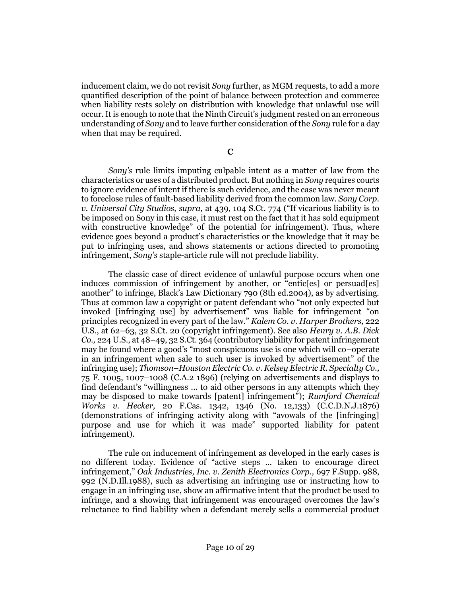inducement claim, we do not revisit *[Sony](http://www.westlaw.com/Link/Document/FullText?findType=Y&serNum=1984103021&pubNum=708&originatingDoc=I3fb03e97e5d511d983e7e9deff98dc6f&refType=CC&originationContext=document&vr=3.0&rs=cblt1.0&transitionType=DocumentItem&contextData=(sc.UserEnteredCitation))* further, as MGM requests, to add a more quantified description of the point of balance between protection and commerce when liability rests solely on distribution with knowledge that unlawful use will occur. It is enough to note that the Ninth Circuit's judgment rested on an erroneous understanding of *[Sony](http://www.westlaw.com/Link/Document/FullText?findType=Y&serNum=1984103021&pubNum=708&originatingDoc=I3fb03e97e5d511d983e7e9deff98dc6f&refType=CC&originationContext=document&vr=3.0&rs=cblt1.0&transitionType=DocumentItem&contextData=(sc.UserEnteredCitation))* and to leave further consideration of the *[Sony](http://www.westlaw.com/Link/Document/FullText?findType=Y&serNum=1984103021&pubNum=708&originatingDoc=I3fb03e97e5d511d983e7e9deff98dc6f&refType=CC&originationContext=document&vr=3.0&rs=cblt1.0&transitionType=DocumentItem&contextData=(sc.UserEnteredCitation))* rule for a day when that may be required.

**C**

*[Sony's](http://www.westlaw.com/Link/Document/FullText?findType=Y&serNum=1984103021&pubNum=708&originatingDoc=I3fb03e97e5d511d983e7e9deff98dc6f&refType=CC&originationContext=document&vr=3.0&rs=cblt1.0&transitionType=DocumentItem&contextData=(sc.UserEnteredCitation))* rule limits imputing culpable intent as a matter of law from the characteristics or uses of a distributed product. But nothing in *[Sony](http://www.westlaw.com/Link/Document/FullText?findType=Y&serNum=1984103021&pubNum=708&originatingDoc=I3fb03e97e5d511d983e7e9deff98dc6f&refType=CC&originationContext=document&vr=3.0&rs=cblt1.0&transitionType=DocumentItem&contextData=(sc.UserEnteredCitation))* requires courts to ignore evidence of intent if there is such evidence, and the case was never meant to foreclose rules of fault-based liability derived from the common law. *[Sony Corp.](http://www.westlaw.com/Link/Document/FullText?findType=Y&serNum=1984103021&pubNum=708&originatingDoc=I3fb03e97e5d511d983e7e9deff98dc6f&refType=RP&originationContext=document&vr=3.0&rs=cblt1.0&transitionType=DocumentItem&contextData=(sc.UserEnteredCitation))  [v. Universal City Studios, supra,](http://www.westlaw.com/Link/Document/FullText?findType=Y&serNum=1984103021&pubNum=708&originatingDoc=I3fb03e97e5d511d983e7e9deff98dc6f&refType=RP&originationContext=document&vr=3.0&rs=cblt1.0&transitionType=DocumentItem&contextData=(sc.UserEnteredCitation))* at 439, 104 S.Ct. 774 ("If vicarious liability is to be imposed on Sony in this case, it must rest on the fact that it has sold equipment with constructive knowledge" of the potential for infringement). Thus, where evidence goes beyond a product's characteristics or the knowledge that it may be put to infringing uses, and shows statements or actions directed to promoting infringement, *[Sony's](http://www.westlaw.com/Link/Document/FullText?findType=Y&serNum=1984103021&pubNum=708&originatingDoc=I3fb03e97e5d511d983e7e9deff98dc6f&refType=CC&originationContext=document&vr=3.0&rs=cblt1.0&transitionType=DocumentItem&contextData=(sc.UserEnteredCitation))* staple-article rule will not preclude liability.

The classic case of direct evidence of unlawful purpose occurs when one induces commission of infringement by another, or "enticles] or persuaders another" to infringe, Black's Law Dictionary 790 (8th ed.2004), as by advertising. Thus at common law a copyright or patent defendant who "not only expected but invoked [infringing use] by advertisement" was liable for infringement "on principles recognized in every part of the law." *[Kalem Co. v. Harper Brothers,](http://www.westlaw.com/Link/Document/FullText?findType=Y&serNum=1911103525&pubNum=0000708&originatingDoc=I3fb03e97e5d511d983e7e9deff98dc6f&refType=RP&originationContext=document&vr=3.0&rs=cblt1.0&transitionType=DocumentItem&contextData=(sc.UserEnteredCitation))* 222 U.S., at 62–[63, 32 S.Ct. 20](http://www.westlaw.com/Link/Document/FullText?findType=Y&serNum=1911103525&pubNum=0000708&originatingDoc=I3fb03e97e5d511d983e7e9deff98dc6f&refType=RP&originationContext=document&vr=3.0&rs=cblt1.0&transitionType=DocumentItem&contextData=(sc.UserEnteredCitation)) (copyright infringement). See also *[Henry v. A.B. Dick](http://www.westlaw.com/Link/Document/FullText?findType=Y&serNum=1912100444&pubNum=0000708&originatingDoc=I3fb03e97e5d511d983e7e9deff98dc6f&refType=RP&originationContext=document&vr=3.0&rs=cblt1.0&transitionType=DocumentItem&contextData=(sc.UserEnteredCitation))  Co.,* 224 U.S., at 48–[49, 32 S.Ct. 364](http://www.westlaw.com/Link/Document/FullText?findType=Y&serNum=1912100444&pubNum=0000708&originatingDoc=I3fb03e97e5d511d983e7e9deff98dc6f&refType=RP&originationContext=document&vr=3.0&rs=cblt1.0&transitionType=DocumentItem&contextData=(sc.UserEnteredCitation)) (contributory liability for patent infringement may be found where a good's "most conspicuous use is one which will co–operate in an infringement when sale to such user is invoked by advertisement" of the infringing use); *Thomson–[Houston Electric Co. v. Kelsey Electric R. Specialty Co.,](http://www.westlaw.com/Link/Document/FullText?findType=Y&serNum=1896149456&pubNum=0000348&originatingDoc=I3fb03e97e5d511d983e7e9deff98dc6f&refType=RP&fi=co_pp_sp_348_1007&originationContext=document&vr=3.0&rs=cblt1.0&transitionType=DocumentItem&contextData=(sc.UserEnteredCitation)#co_pp_sp_348_1007)* 75 F. 1005, 1007–[1008 \(C.A.2 1896\)](http://www.westlaw.com/Link/Document/FullText?findType=Y&serNum=1896149456&pubNum=0000348&originatingDoc=I3fb03e97e5d511d983e7e9deff98dc6f&refType=RP&fi=co_pp_sp_348_1007&originationContext=document&vr=3.0&rs=cblt1.0&transitionType=DocumentItem&contextData=(sc.UserEnteredCitation)#co_pp_sp_348_1007) (relying on advertisements and displays to find defendant's "willingness ... to aid other persons in any attempts which they may be disposed to make towards [patent] infringement"); *Rumford Chemical Works v. Hecker,* 20 F.Cas. 1342, 1346 (No. 12,133) (C.C.D.N.J.1876) (demonstrations of infringing activity along with "avowals of the [infringing] purpose and use for which it was made" supported liability for patent infringement).

The rule on inducement of infringement as developed in the early cases is no different today. Evidence of "active steps ... taken to encourage direct infringement," *[Oak Industries, Inc. v. Zenith Electronics Corp.,](http://www.westlaw.com/Link/Document/FullText?findType=Y&serNum=1988123038&pubNum=0000345&originatingDoc=I3fb03e97e5d511d983e7e9deff98dc6f&refType=RP&fi=co_pp_sp_345_992&originationContext=document&vr=3.0&rs=cblt1.0&transitionType=DocumentItem&contextData=(sc.UserEnteredCitation)#co_pp_sp_345_992)* 697 F.Supp. 988, [992 \(N.D.Ill.1988\),](http://www.westlaw.com/Link/Document/FullText?findType=Y&serNum=1988123038&pubNum=0000345&originatingDoc=I3fb03e97e5d511d983e7e9deff98dc6f&refType=RP&fi=co_pp_sp_345_992&originationContext=document&vr=3.0&rs=cblt1.0&transitionType=DocumentItem&contextData=(sc.UserEnteredCitation)#co_pp_sp_345_992) such as advertising an infringing use or instructing how to engage in an infringing use, show an affirmative intent that the product be used to infringe, and a showing that infringement was encouraged overcomes the law's reluctance to find liability when a defendant merely sells a commercial product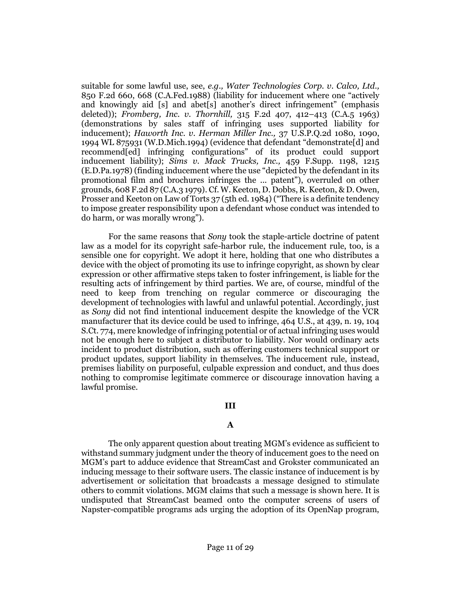suitable for some lawful use, see, *e.g., [Water Technologies Corp. v. Calco, Ltd.,](http://www.westlaw.com/Link/Document/FullText?findType=Y&serNum=1988078737&pubNum=0000350&originatingDoc=I3fb03e97e5d511d983e7e9deff98dc6f&refType=RP&fi=co_pp_sp_350_668&originationContext=document&vr=3.0&rs=cblt1.0&transitionType=DocumentItem&contextData=(sc.UserEnteredCitation)#co_pp_sp_350_668)* [850 F.2d 660, 668 \(C.A.Fed.1988\)](http://www.westlaw.com/Link/Document/FullText?findType=Y&serNum=1988078737&pubNum=0000350&originatingDoc=I3fb03e97e5d511d983e7e9deff98dc6f&refType=RP&fi=co_pp_sp_350_668&originationContext=document&vr=3.0&rs=cblt1.0&transitionType=DocumentItem&contextData=(sc.UserEnteredCitation)#co_pp_sp_350_668) (liability for inducement where one "actively and knowingly aid [s] and abet[s] another's direct infringement" (emphasis deleted)); *[Fromberg, Inc. v. Thornhill,](http://www.westlaw.com/Link/Document/FullText?findType=Y&serNum=1963114218&pubNum=0000350&originatingDoc=I3fb03e97e5d511d983e7e9deff98dc6f&refType=RP&fi=co_pp_sp_350_412&originationContext=document&vr=3.0&rs=cblt1.0&transitionType=DocumentItem&contextData=(sc.UserEnteredCitation)#co_pp_sp_350_412)* 315 F.2d 407, 412–413 (C.A.5 1963) (demonstrations by sales staff of infringing uses supported liability for inducement); *[Haworth Inc. v. Herman Miller Inc.,](http://www.westlaw.com/Link/Document/FullText?findType=Y&serNum=1996045531&pubNum=0001013&originatingDoc=I3fb03e97e5d511d983e7e9deff98dc6f&refType=RP&fi=co_pp_sp_1013_1090&originationContext=document&vr=3.0&rs=cblt1.0&transitionType=DocumentItem&contextData=(sc.UserEnteredCitation)#co_pp_sp_1013_1090)* 37 U.S.P.Q.2d 1080, 1090, [1994 WL 875931 \(W.D.Mich.1994\)](http://www.westlaw.com/Link/Document/FullText?findType=Y&serNum=1996045531&pubNum=0001013&originatingDoc=I3fb03e97e5d511d983e7e9deff98dc6f&refType=RP&fi=co_pp_sp_1013_1090&originationContext=document&vr=3.0&rs=cblt1.0&transitionType=DocumentItem&contextData=(sc.UserEnteredCitation)#co_pp_sp_1013_1090) (evidence that defendant "demonstrate[d] and recommend[ed] infringing configurations" of its product could support inducement liability); *[Sims v. Mack Trucks, Inc.,](http://www.westlaw.com/Link/Document/FullText?findType=Y&serNum=1978123568&pubNum=0000345&originatingDoc=I3fb03e97e5d511d983e7e9deff98dc6f&refType=RP&fi=co_pp_sp_345_1215&originationContext=document&vr=3.0&rs=cblt1.0&transitionType=DocumentItem&contextData=(sc.UserEnteredCitation)#co_pp_sp_345_1215)* 459 F.Supp. 1198, 1215 [\(E.D.Pa.1978\)](http://www.westlaw.com/Link/Document/FullText?findType=Y&serNum=1978123568&pubNum=0000345&originatingDoc=I3fb03e97e5d511d983e7e9deff98dc6f&refType=RP&fi=co_pp_sp_345_1215&originationContext=document&vr=3.0&rs=cblt1.0&transitionType=DocumentItem&contextData=(sc.UserEnteredCitation)#co_pp_sp_345_1215) (finding inducement where the use "depicted by the defendant in its promotional film and brochures infringes the ... patent"), overruled on other grounds[, 608 F.2d 87 \(C.A.3 1979\).](http://www.westlaw.com/Link/Document/FullText?findType=Y&serNum=1979115032&pubNum=0000350&originatingDoc=I3fb03e97e5d511d983e7e9deff98dc6f&refType=RP&originationContext=document&vr=3.0&rs=cblt1.0&transitionType=DocumentItem&contextData=(sc.UserEnteredCitation)) Cf. W. Keeton, D. Dobbs, R. Keeton, & D. Owen, Prosser and Keeton on Law of Torts 37 (5th ed. 1984) ("There is a definite tendency to impose greater responsibility upon a defendant whose conduct was intended to do harm, or was morally wrong").

For the same reasons that *[Sony](http://www.westlaw.com/Link/Document/FullText?findType=Y&serNum=1984103021&pubNum=708&originatingDoc=I3fb03e97e5d511d983e7e9deff98dc6f&refType=CC&originationContext=document&vr=3.0&rs=cblt1.0&transitionType=DocumentItem&contextData=(sc.UserEnteredCitation))* took the staple-article doctrine of patent law as a model for its copyright safe-harbor rule, the inducement rule, too, is a sensible one for copyright. We adopt it here, holding that one who distributes a device with the object of promoting its use to infringe copyright, as shown by clear expression or other affirmative steps taken to foster infringement, is liable for the resulting acts of infringement by third parties. We are, of course, mindful of the need to keep from trenching on regular commerce or discouraging the development of technologies with lawful and unlawful potential. Accordingly, just as *[Sony](http://www.westlaw.com/Link/Document/FullText?findType=Y&serNum=1984103021&pubNum=708&originatingDoc=I3fb03e97e5d511d983e7e9deff98dc6f&refType=CC&originationContext=document&vr=3.0&rs=cblt1.0&transitionType=DocumentItem&contextData=(sc.UserEnteredCitation))* did not find intentional inducement despite the knowledge of the VCR manufacturer that its device could be used to infringe, [464 U.S., at 439, n. 19, 104](http://www.westlaw.com/Link/Document/FullText?findType=Y&serNum=1984103021&pubNum=708&originatingDoc=I3fb03e97e5d511d983e7e9deff98dc6f&refType=RP&originationContext=document&vr=3.0&rs=cblt1.0&transitionType=DocumentItem&contextData=(sc.UserEnteredCitation))  [S.Ct. 774,](http://www.westlaw.com/Link/Document/FullText?findType=Y&serNum=1984103021&pubNum=708&originatingDoc=I3fb03e97e5d511d983e7e9deff98dc6f&refType=RP&originationContext=document&vr=3.0&rs=cblt1.0&transitionType=DocumentItem&contextData=(sc.UserEnteredCitation)) mere knowledge of infringing potential or of actual infringing uses would not be enough here to subject a distributor to liability. Nor would ordinary acts incident to product distribution, such as offering customers technical support or product updates, support liability in themselves. The inducement rule, instead, premises liability on purposeful, culpable expression and conduct, and thus does nothing to compromise legitimate commerce or discourage innovation having a lawful promise.

## **III**

#### **A**

The only apparent question about treating MGM's evidence as sufficient to withstand summary judgment under the theory of inducement goes to the need on MGM's part to adduce evidence that StreamCast and Grokster communicated an inducing message to their software users. The classic instance of inducement is by advertisement or solicitation that broadcasts a message designed to stimulate others to commit violations. MGM claims that such a message is shown here. It is undisputed that StreamCast beamed onto the computer screens of users of Napster-compatible programs ads urging the adoption of its OpenNap program,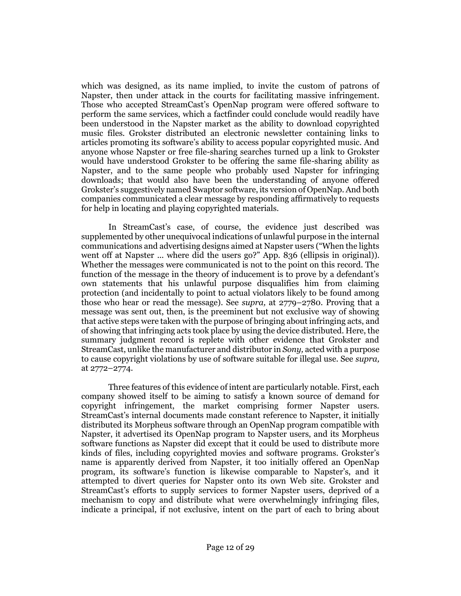which was designed, as its name implied, to invite the custom of patrons of Napster, then under attack in the courts for facilitating massive infringement. Those who accepted StreamCast's OpenNap program were offered software to perform the same services, which a factfinder could conclude would readily have been understood in the Napster market as the ability to download copyrighted music files. Grokster distributed an electronic newsletter containing links to articles promoting its software's ability to access popular copyrighted music. And anyone whose Napster or free file-sharing searches turned up a link to Grokster would have understood Grokster to be offering the same file-sharing ability as Napster, and to the same people who probably used Napster for infringing downloads; that would also have been the understanding of anyone offered Grokster's suggestively named Swaptor software, its version of OpenNap. And both companies communicated a clear message by responding affirmatively to requests for help in locating and playing copyrighted materials.

In StreamCast's case, of course, the evidence just described was supplemented by other unequivocal indications of unlawful purpose in the internal communications and advertising designs aimed at Napster users ("When the lights went off at Napster ... where did the users go?" App. 836 (ellipsis in original)). Whether the messages were communicated is not to the point on this record. The function of the message in the theory of inducement is to prove by a defendant's own statements that his unlawful purpose disqualifies him from claiming protection (and incidentally to point to actual violators likely to be found among those who hear or read the message). See *supra,* at 2779–2780. Proving that a message was sent out, then, is the preeminent but not exclusive way of showing that active steps were taken with the purpose of bringing about infringing acts, and of showing that infringing acts took place by using the device distributed. Here, the summary judgment record is replete with other evidence that Grokster and StreamCast, unlike the manufacturer and distributor in *[Sony,](http://www.westlaw.com/Link/Document/FullText?findType=Y&serNum=1984103021&pubNum=708&originatingDoc=I3fb03e97e5d511d983e7e9deff98dc6f&refType=CC&originationContext=document&vr=3.0&rs=cblt1.0&transitionType=DocumentItem&contextData=(sc.UserEnteredCitation))* acted with a purpose to cause copyright violations by use of software suitable for illegal use. See *supra,* at 2772–2774.

Three features of this evidence of intent are particularly notable. First, each company showed itself to be aiming to satisfy a known source of demand for copyright infringement, the market comprising former Napster users. StreamCast's internal documents made constant reference to Napster, it initially distributed its Morpheus software through an OpenNap program compatible with Napster, it advertised its OpenNap program to Napster users, and its Morpheus software functions as Napster did except that it could be used to distribute more kinds of files, including copyrighted movies and software programs. Grokster's name is apparently derived from Napster, it too initially offered an OpenNap program, its software's function is likewise comparable to Napster's, and it attempted to divert queries for Napster onto its own Web site. Grokster and StreamCast's efforts to supply services to former Napster users, deprived of a mechanism to copy and distribute what were overwhelmingly infringing files, indicate a principal, if not exclusive, intent on the part of each to bring about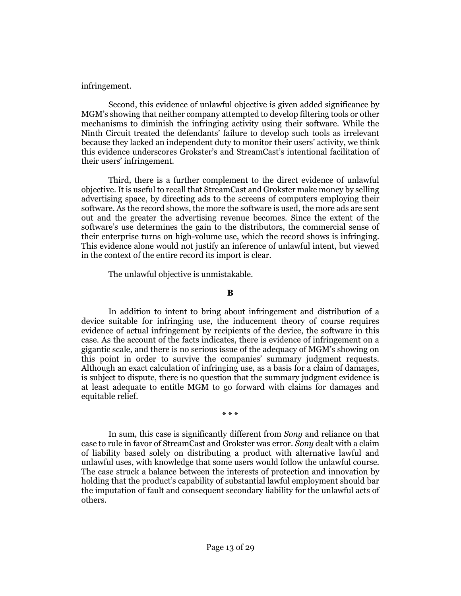#### infringement.

Second, this evidence of unlawful objective is given added significance by MGM's showing that neither company attempted to develop filtering tools or other mechanisms to diminish the infringing activity using their software. While the Ninth Circuit treated the defendants' failure to develop such tools as irrelevant because they lacked an independent duty to monitor their users' activity, we think this evidence underscores Grokster's and StreamCast's intentional facilitation of their users' infringement.

Third, there is a further complement to the direct evidence of unlawful objective. It is useful to recall that StreamCast and Grokster make money by selling advertising space, by directing ads to the screens of computers employing their software. As the record shows, the more the software is used, the more ads are sent out and the greater the advertising revenue becomes. Since the extent of the software's use determines the gain to the distributors, the commercial sense of their enterprise turns on high-volume use, which the record shows is infringing. This evidence alone would not justify an inference of unlawful intent, but viewed in the context of the entire record its import is clear.

The unlawful objective is unmistakable.

#### **B**

In addition to intent to bring about infringement and distribution of a device suitable for infringing use, the inducement theory of course requires evidence of actual infringement by recipients of the device, the software in this case. As the account of the facts indicates, there is evidence of infringement on a gigantic scale, and there is no serious issue of the adequacy of MGM's showing on this point in order to survive the companies' summary judgment requests. Although an exact calculation of infringing use, as a basis for a claim of damages, is subject to dispute, there is no question that the summary judgment evidence is at least adequate to entitle MGM to go forward with claims for damages and equitable relief.

**\* \* \***

In sum, this case is significantly different from *[Sony](http://www.westlaw.com/Link/Document/FullText?findType=Y&serNum=1984103021&pubNum=708&originatingDoc=I3fb03e97e5d511d983e7e9deff98dc6f&refType=CC&originationContext=document&vr=3.0&rs=cblt1.0&transitionType=DocumentItem&contextData=(sc.UserEnteredCitation))* and reliance on that case to rule in favor of StreamCast and Grokster was error. *[Sony](http://www.westlaw.com/Link/Document/FullText?findType=Y&serNum=1984103021&pubNum=708&originatingDoc=I3fb03e97e5d511d983e7e9deff98dc6f&refType=CC&originationContext=document&vr=3.0&rs=cblt1.0&transitionType=DocumentItem&contextData=(sc.UserEnteredCitation))* dealt with a claim of liability based solely on distributing a product with alternative lawful and unlawful uses, with knowledge that some users would follow the unlawful course. The case struck a balance between the interests of protection and innovation by holding that the product's capability of substantial lawful employment should bar the imputation of fault and consequent secondary liability for the unlawful acts of others.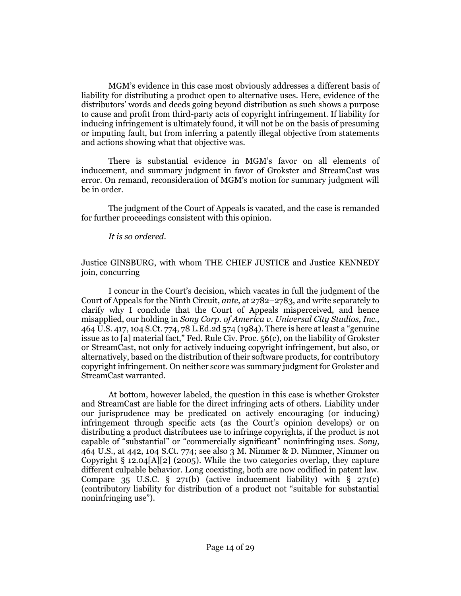MGM's evidence in this case most obviously addresses a different basis of liability for distributing a product open to alternative uses. Here, evidence of the distributors' words and deeds going beyond distribution as such shows a purpose to cause and profit from third-party acts of copyright infringement. If liability for inducing infringement is ultimately found, it will not be on the basis of presuming or imputing fault, but from inferring a patently illegal objective from statements and actions showing what that objective was.

There is substantial evidence in MGM's favor on all elements of inducement, and summary judgment in favor of Grokster and StreamCast was error. On remand, reconsideration of MGM's motion for summary judgment will be in order.

The judgment of the Court of Appeals is vacated, and the case is remanded for further proceedings consistent with this opinion.

*It is so ordered.*

Justice [GINSBURG,](http://www.westlaw.com/Link/Document/FullText?findType=h&pubNum=176284&cite=0224420501&originatingDoc=I3fb03e97e5d511d983e7e9deff98dc6f&refType=RQ&originationContext=document&vr=3.0&rs=cblt1.0&transitionType=DocumentItem&contextData=(sc.UserEnteredCitation)) with whom THE CHIEF JUSTICE and Justice KENNEDY join, concurring

I concur in the Court's decision, which vacates in full the judgment of the Court of Appeals for the Ninth Circuit, *ante,* at 2782–2783, and write separately to clarify why I conclude that the Court of Appeals misperceived, and hence misapplied, our holding in *[Sony Corp. of America v. Universal City Studios, Inc.,](http://www.westlaw.com/Link/Document/FullText?findType=Y&serNum=1984103021&pubNum=0000708&originatingDoc=I3fb03e97e5d511d983e7e9deff98dc6f&refType=RP&originationContext=document&vr=3.0&rs=cblt1.0&transitionType=DocumentItem&contextData=(sc.UserEnteredCitation))* [464 U.S. 417, 104 S.Ct. 774, 78 L.Ed.2d 574 \(1984\)](http://www.westlaw.com/Link/Document/FullText?findType=Y&serNum=1984103021&pubNum=0000708&originatingDoc=I3fb03e97e5d511d983e7e9deff98dc6f&refType=RP&originationContext=document&vr=3.0&rs=cblt1.0&transitionType=DocumentItem&contextData=(sc.UserEnteredCitation)). There is here at least a "genuine issue as to [a] material fact," [Fed. Rule Civ. Proc. 56\(c\),](http://www.westlaw.com/Link/Document/FullText?findType=L&pubNum=1000600&cite=USFRCPR56&originatingDoc=I3fb03e97e5d511d983e7e9deff98dc6f&refType=RB&originationContext=document&vr=3.0&rs=cblt1.0&transitionType=DocumentItem&contextData=(sc.UserEnteredCitation)#co_pp_4b24000003ba5) on the liability of Grokster or StreamCast, not only for actively inducing copyright infringement, but also, or alternatively, based on the distribution of their software products, for contributory copyright infringement. On neither score was summary judgment for Grokster and StreamCast warranted.

At bottom, however labeled, the question in this case is whether Grokster and StreamCast are liable for the direct infringing acts of others. Liability under our jurisprudence may be predicated on actively encouraging (or inducing) infringement through specific acts (as the Court's opinion develops) or on distributing a product distributees use to infringe copyrights, if the product is not capable of "substantial" or "commercially significant" noninfringing uses. *[Sony,](http://www.westlaw.com/Link/Document/FullText?findType=Y&serNum=1984103021&pubNum=708&originatingDoc=I3fb03e97e5d511d983e7e9deff98dc6f&refType=RP&originationContext=document&vr=3.0&rs=cblt1.0&transitionType=DocumentItem&contextData=(sc.UserEnteredCitation))*  [464 U.S., at 442, 104](http://www.westlaw.com/Link/Document/FullText?findType=Y&serNum=1984103021&pubNum=708&originatingDoc=I3fb03e97e5d511d983e7e9deff98dc6f&refType=RP&originationContext=document&vr=3.0&rs=cblt1.0&transitionType=DocumentItem&contextData=(sc.UserEnteredCitation)) S.Ct. 774; see also 3 M. Nimmer & D. Nimmer, Nimmer on Copyright § 12.04[A][2] (2005). While the two categories overlap, they capture different culpable behavior. Long coexisting, both are now codified in patent law. Compare [35 U.S.C. § 271\(b\)](http://www.westlaw.com/Link/Document/FullText?findType=L&pubNum=1000546&cite=35USCAS271&originatingDoc=I3fb03e97e5d511d983e7e9deff98dc6f&refType=RB&originationContext=document&vr=3.0&rs=cblt1.0&transitionType=DocumentItem&contextData=(sc.UserEnteredCitation)#co_pp_a83b000018c76) (active inducement liability) with [§ 271\(c\)](http://www.westlaw.com/Link/Document/FullText?findType=L&pubNum=1000546&cite=35USCAS271&originatingDoc=I3fb03e97e5d511d983e7e9deff98dc6f&refType=RB&originationContext=document&vr=3.0&rs=cblt1.0&transitionType=DocumentItem&contextData=(sc.UserEnteredCitation)#co_pp_4b24000003ba5) (contributory liability for distribution of a product not "suitable for substantial noninfringing use").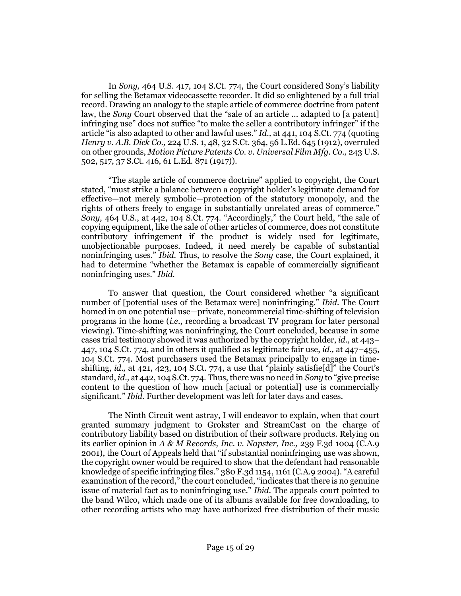In *Sony,* [464 U.S. 417, 104 S.Ct. 774,](http://www.westlaw.com/Link/Document/FullText?findType=Y&serNum=1984103021&pubNum=708&originatingDoc=I3fb03e97e5d511d983e7e9deff98dc6f&refType=RP&originationContext=document&vr=3.0&rs=cblt1.0&transitionType=DocumentItem&contextData=(sc.UserEnteredCitation)) the Court considered Sony's liability for selling the Betamax videocassette recorder. It did so enlightened by a full trial record. Drawing an analogy to the staple article of commerce doctrine from patent law, the *[Sony](http://www.westlaw.com/Link/Document/FullText?findType=Y&serNum=1984103021&pubNum=708&originatingDoc=I3fb03e97e5d511d983e7e9deff98dc6f&refType=CC&originationContext=document&vr=3.0&rs=cblt1.0&transitionType=DocumentItem&contextData=(sc.UserEnteredCitation))* Court observed that the "sale of an article ... adapted to [a patent] infringing use" does not suffice "to make the seller a contributory infringer" if the article "is also adapted to other and lawful uses." *Id.,* [at 441, 104 S.Ct. 774](http://www.westlaw.com/Link/Document/FullText?findType=Y&serNum=1984103021&pubNum=708&originatingDoc=I3fb03e97e5d511d983e7e9deff98dc6f&refType=RP&originationContext=document&vr=3.0&rs=cblt1.0&transitionType=DocumentItem&contextData=(sc.UserEnteredCitation)) (quoting *Henry v. A.B. Dick Co.,* [224 U.S. 1, 48, 32 S.Ct. 364, 56 L.Ed. 645 \(1912\),](http://www.westlaw.com/Link/Document/FullText?findType=Y&serNum=1912100444&pubNum=0000708&originatingDoc=I3fb03e97e5d511d983e7e9deff98dc6f&refType=RP&originationContext=document&vr=3.0&rs=cblt1.0&transitionType=DocumentItem&contextData=(sc.UserEnteredCitation)) overruled on other grounds, *[Motion Picture Patents Co. v. Universal Film Mfg. Co.,](http://www.westlaw.com/Link/Document/FullText?findType=Y&serNum=1917100447&pubNum=0000708&originatingDoc=I3fb03e97e5d511d983e7e9deff98dc6f&refType=RP&originationContext=document&vr=3.0&rs=cblt1.0&transitionType=DocumentItem&contextData=(sc.UserEnteredCitation))* 243 U.S. [502, 517, 37 S.Ct. 416, 61 L.Ed. 871 \(1917\)\)](http://www.westlaw.com/Link/Document/FullText?findType=Y&serNum=1917100447&pubNum=0000708&originatingDoc=I3fb03e97e5d511d983e7e9deff98dc6f&refType=RP&originationContext=document&vr=3.0&rs=cblt1.0&transitionType=DocumentItem&contextData=(sc.UserEnteredCitation)).

"The staple article of commerce doctrine" applied to copyright, the Court stated, "must strike a balance between a copyright holder's legitimate demand for effective—not merely symbolic—protection of the statutory monopoly, and the rights of others freely to engage in substantially unrelated areas of commerce." *Sony,* [464 U.S., at 442, 104 S.Ct. 774.](http://www.westlaw.com/Link/Document/FullText?findType=Y&serNum=1984103021&pubNum=708&originatingDoc=I3fb03e97e5d511d983e7e9deff98dc6f&refType=RP&originationContext=document&vr=3.0&rs=cblt1.0&transitionType=DocumentItem&contextData=(sc.UserEnteredCitation)) "Accordingly," the Court held, "the sale of copying equipment, like the sale of other articles of commerce, does not constitute contributory infringement if the product is widely used for legitimate, unobjectionable purposes. Indeed, it need merely be capable of substantial noninfringing uses." *Ibid.* Thus, to resolve the *[Sony](http://www.westlaw.com/Link/Document/FullText?findType=Y&serNum=1984103021&pubNum=708&originatingDoc=I3fb03e97e5d511d983e7e9deff98dc6f&refType=CC&originationContext=document&vr=3.0&rs=cblt1.0&transitionType=DocumentItem&contextData=(sc.UserEnteredCitation))* case, the Court explained, it had to determine "whether the Betamax is capable of commercially significant noninfringing uses." *Ibid.*

To answer that question, the Court considered whether "a significant number of [potential uses of the Betamax were] noninfringing." *Ibid.* The Court homed in on one potential use—private, noncommercial time-shifting of television programs in the home (*i.e.,* recording a broadcast TV program for later personal viewing). Time-shifting was noninfringing, the Court concluded, because in some cases trial testimony showed it was authorized by the copyright holder, *id.,* [at 443](http://www.westlaw.com/Link/Document/FullText?findType=Y&serNum=1984103021&pubNum=708&originatingDoc=I3fb03e97e5d511d983e7e9deff98dc6f&refType=RP&originationContext=document&vr=3.0&rs=cblt1.0&transitionType=DocumentItem&contextData=(sc.UserEnteredCitation))– [447, 104 S.Ct. 774,](http://www.westlaw.com/Link/Document/FullText?findType=Y&serNum=1984103021&pubNum=708&originatingDoc=I3fb03e97e5d511d983e7e9deff98dc6f&refType=RP&originationContext=document&vr=3.0&rs=cblt1.0&transitionType=DocumentItem&contextData=(sc.UserEnteredCitation)) and in others it qualified as legitimate fair use, *id.,* [at 447](http://www.westlaw.com/Link/Document/FullText?findType=Y&serNum=1984103021&pubNum=708&originatingDoc=I3fb03e97e5d511d983e7e9deff98dc6f&refType=RP&originationContext=document&vr=3.0&rs=cblt1.0&transitionType=DocumentItem&contextData=(sc.UserEnteredCitation))–455, [104 S.Ct. 774.](http://www.westlaw.com/Link/Document/FullText?findType=Y&serNum=1984103021&pubNum=708&originatingDoc=I3fb03e97e5d511d983e7e9deff98dc6f&refType=RP&originationContext=document&vr=3.0&rs=cblt1.0&transitionType=DocumentItem&contextData=(sc.UserEnteredCitation)) Most purchasers used the Betamax principally to engage in timeshifting, *id.,* [at 421, 423, 104 S.Ct. 774,](http://www.westlaw.com/Link/Document/FullText?findType=Y&serNum=1984103021&pubNum=708&originatingDoc=I3fb03e97e5d511d983e7e9deff98dc6f&refType=RP&originationContext=document&vr=3.0&rs=cblt1.0&transitionType=DocumentItem&contextData=(sc.UserEnteredCitation)) a use that "plainly satisfie[d]" the Court's standard, *id.,* [at 442, 104 S.Ct. 774.](http://www.westlaw.com/Link/Document/FullText?findType=Y&serNum=1984103021&pubNum=708&originatingDoc=I3fb03e97e5d511d983e7e9deff98dc6f&refType=RP&originationContext=document&vr=3.0&rs=cblt1.0&transitionType=DocumentItem&contextData=(sc.UserEnteredCitation)) Thus, there was no need in *[Sony](http://www.westlaw.com/Link/Document/FullText?findType=Y&serNum=1984103021&pubNum=708&originatingDoc=I3fb03e97e5d511d983e7e9deff98dc6f&refType=CC&originationContext=document&vr=3.0&rs=cblt1.0&transitionType=DocumentItem&contextData=(sc.UserEnteredCitation))* to "give precise content to the question of how much [actual or potential] use is commercially significant." *Ibid.* Further development was left for later days and cases.

The Ninth Circuit went astray, I will endeavor to explain, when that court granted summary judgment to Grokster and StreamCast on the charge of contributory liability based on distribution of their software products. Relying on its earlier opinion in *[A & M Records, Inc. v. Napster, Inc.,](http://www.westlaw.com/Link/Document/FullText?findType=Y&serNum=2001141036&pubNum=0000506&originatingDoc=I3fb03e97e5d511d983e7e9deff98dc6f&refType=RP&originationContext=document&vr=3.0&rs=cblt1.0&transitionType=DocumentItem&contextData=(sc.UserEnteredCitation))* 239 F.3d 1004 (C.A.9 [2001\)](http://www.westlaw.com/Link/Document/FullText?findType=Y&serNum=2001141036&pubNum=0000506&originatingDoc=I3fb03e97e5d511d983e7e9deff98dc6f&refType=RP&originationContext=document&vr=3.0&rs=cblt1.0&transitionType=DocumentItem&contextData=(sc.UserEnteredCitation)), the Court of Appeals held that "if substantial noninfringing use was shown, the copyright owner would be required to show that the defendant had reasonable knowledge of specific infringing files." [380 F.3d 1154, 1161 \(C.A.9 2004\)](http://www.westlaw.com/Link/Document/FullText?findType=Y&serNum=2004896042&pubNum=0000506&originatingDoc=I3fb03e97e5d511d983e7e9deff98dc6f&refType=RP&fi=co_pp_sp_506_1161&originationContext=document&vr=3.0&rs=cblt1.0&transitionType=DocumentItem&contextData=(sc.UserEnteredCitation)#co_pp_sp_506_1161). "A careful examination of the record," the court concluded, "indicates that there is no genuine issue of material fact as to noninfringing use." *Ibid.* The appeals court pointed to the band Wilco, which made one of its albums available for free downloading, to other recording artists who may have authorized free distribution of their music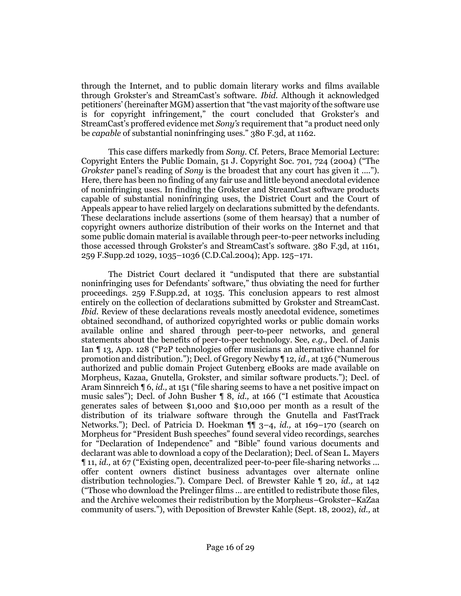through the Internet, and to public domain literary works and films available through Grokster's and StreamCast's software. *Ibid.* Although it acknowledged petitioners' (hereinafter MGM) assertion that "the vast majority of the software use is for copyright infringement," the court concluded that Grokster's and StreamCast's proffered evidence met *[Sony's](http://www.westlaw.com/Link/Document/FullText?findType=Y&serNum=1984103021&pubNum=708&originatingDoc=I3fb03e97e5d511d983e7e9deff98dc6f&refType=CC&originationContext=document&vr=3.0&rs=cblt1.0&transitionType=DocumentItem&contextData=(sc.UserEnteredCitation))* requirement that "a product need only be *capable* of substantial noninfringing uses." [380 F.3d, at 1162.](http://www.westlaw.com/Link/Document/FullText?findType=Y&serNum=2004896042&pubNum=0000506&originatingDoc=I3fb03e97e5d511d983e7e9deff98dc6f&refType=RP&fi=co_pp_sp_506_1162&originationContext=document&vr=3.0&rs=cblt1.0&transitionType=DocumentItem&contextData=(sc.UserEnteredCitation)#co_pp_sp_506_1162)

This case differs markedly from *[Sony.](http://www.westlaw.com/Link/Document/FullText?findType=Y&serNum=1984103021&pubNum=708&originatingDoc=I3fb03e97e5d511d983e7e9deff98dc6f&refType=CC&originationContext=document&vr=3.0&rs=cblt1.0&transitionType=DocumentItem&contextData=(sc.UserEnteredCitation))* Cf. [Peters, Brace Memorial Lecture:](http://www.westlaw.com/Link/Document/FullText?findType=Y&serNum=0303927250&pubNum=1170&originatingDoc=I3fb03e97e5d511d983e7e9deff98dc6f&refType=LR&fi=co_pp_sp_1170_724&originationContext=document&vr=3.0&rs=cblt1.0&transitionType=DocumentItem&contextData=(sc.UserEnteredCitation)#co_pp_sp_1170_724)  [Copyright Enters the Public Domain, 51 J. Copyright Soc. 701, 724 \(2004\)](http://www.westlaw.com/Link/Document/FullText?findType=Y&serNum=0303927250&pubNum=1170&originatingDoc=I3fb03e97e5d511d983e7e9deff98dc6f&refType=LR&fi=co_pp_sp_1170_724&originationContext=document&vr=3.0&rs=cblt1.0&transitionType=DocumentItem&contextData=(sc.UserEnteredCitation)#co_pp_sp_1170_724) ("The *Grokster* panel's reading of *[Sony](http://www.westlaw.com/Link/Document/FullText?findType=Y&serNum=1984103021&pubNum=708&originatingDoc=I3fb03e97e5d511d983e7e9deff98dc6f&refType=CC&originationContext=document&vr=3.0&rs=cblt1.0&transitionType=DocumentItem&contextData=(sc.UserEnteredCitation))* is the broadest that any court has given it ...."). Here, there has been no finding of any fair use and little beyond anecdotal evidence of noninfringing uses. In finding the Grokster and StreamCast software products capable of substantial noninfringing uses, the District Court and the Court of Appeals appear to have relied largely on declarations submitted by the defendants. These declarations include assertions (some of them hearsay) that a number of copyright owners authorize distribution of their works on the Internet and that some public domain material is available through peer-to-peer networks including those accessed through Grokster's and StreamCast's software. 380 F.3d, at 1161, 259 F.Supp.2d 1029, 1035–1036 (C.D.Cal.2004); App. 125–171.

The District Court declared it "undisputed that there are substantial noninfringing uses for Defendants' software," thus obviating the need for further proceedings. [259 F.Supp.2d, at 1035.](http://www.westlaw.com/Link/Document/FullText?findType=Y&serNum=2003323691&pubNum=4637&originatingDoc=I3fb03e97e5d511d983e7e9deff98dc6f&refType=RP&fi=co_pp_sp_4637_1035&originationContext=document&vr=3.0&rs=cblt1.0&transitionType=DocumentItem&contextData=(sc.UserEnteredCitation)#co_pp_sp_4637_1035) This conclusion appears to rest almost entirely on the collection of declarations submitted by Grokster and StreamCast. *Ibid.* Review of these declarations reveals mostly anecdotal evidence, sometimes obtained secondhand, of authorized copyrighted works or public domain works available online and shared through peer-to-peer networks, and general statements about the benefits of peer-to-peer technology. See, *e.g.,* Decl. of Janis Ian ¶ 13, App. 128 ("P2P technologies offer musicians an alternative channel for promotion and distribution."); Decl. of Gregory Newby ¶ 12, *id.,* at 136 ("Numerous authorized and public domain Project Gutenberg eBooks are made available on Morpheus, Kazaa, Gnutella, Grokster, and similar software products."); Decl. of Aram Sinnreich ¶ 6, *id.,* at 151 ("file sharing seems to have a net positive impact on music sales"); Decl. of John Busher ¶ 8, *id.,* at 166 ("I estimate that Acoustica generates sales of between \$1,000 and \$10,000 per month as a result of the distribution of its trialware software through the Gnutella and FastTrack Networks."); Decl. of Patricia D. Hoekman ¶¶ 3–4, *id.,* at 169–170 (search on Morpheus for "President Bush speeches" found several video recordings, searches for "Declaration of Independence" and "Bible" found various documents and declarant was able to download a copy of the Declaration); Decl. of Sean L. Mayers ¶ 11, *id.,* at 67 ("Existing open, decentralized peer-to-peer file-sharing networks ... offer content owners distinct business advantages over alternate online distribution technologies."). Compare Decl. of Brewster Kahle ¶ 20, *id.,* at 142 ("Those who download the Prelinger films ... are entitled to redistribute those files, and the Archive welcomes their redistribution by the Morpheus–Grokster–KaZaa community of users."), with Deposition of Brewster Kahle (Sept. 18, 2002), *id.,* at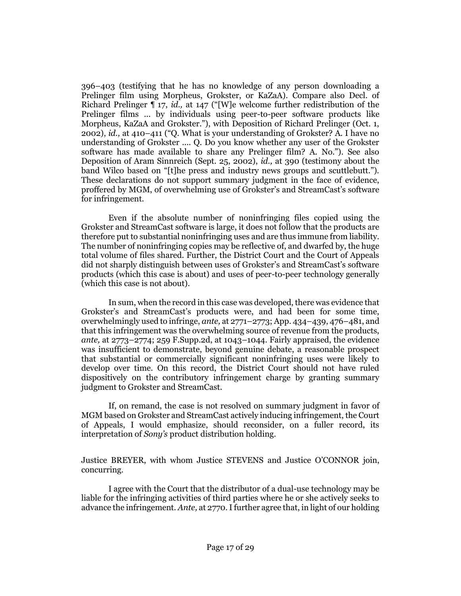396–403 (testifying that he has no knowledge of any person downloading a Prelinger film using Morpheus, Grokster, or KaZaA). Compare also Decl. of Richard Prelinger ¶ 17, *id.,* at 147 ("[W]e welcome further redistribution of the Prelinger films ... by individuals using peer-to-peer software products like Morpheus, KaZaA and Grokster."), with Deposition of Richard Prelinger (Oct. 1, 2002), *id.,* at 410–411 ("Q. What is your understanding of Grokster? A. I have no understanding of Grokster .... Q. Do you know whether any user of the Grokster software has made available to share any Prelinger film? A. No."). See also Deposition of Aram Sinnreich (Sept. 25, 2002), *id.,* at 390 (testimony about the band Wilco based on "[t]he press and industry news groups and scuttlebutt."). These declarations do not support summary judgment in the face of evidence, proffered by MGM, of overwhelming use of Grokster's and StreamCast's software for infringement.

Even if the absolute number of noninfringing files copied using the Grokster and StreamCast software is large, it does not follow that the products are therefore put to substantial noninfringing uses and are thus immune from liability. The number of noninfringing copies may be reflective of, and dwarfed by, the huge total volume of files shared. Further, the District Court and the Court of Appeals did not sharply distinguish between uses of Grokster's and StreamCast's software products (which this case is about) and uses of peer-to-peer technology generally (which this case is not about).

In sum, when the record in this case was developed, there was evidence that Grokster's and StreamCast's products were, and had been for some time, overwhelmingly used to infringe, *ante,* at 2771–2773; App. 434–439, 476–481, and that this infringement was the overwhelming source of revenue from the products, *ante,* at 2773–2774; [259 F.Supp.2d, at 1043](http://www.westlaw.com/Link/Document/FullText?findType=Y&serNum=2003323691&pubNum=4637&originatingDoc=I3fb03e97e5d511d983e7e9deff98dc6f&refType=RP&fi=co_pp_sp_4637_1043&originationContext=document&vr=3.0&rs=cblt1.0&transitionType=DocumentItem&contextData=(sc.UserEnteredCitation)#co_pp_sp_4637_1043)–1044. Fairly appraised, the evidence was insufficient to demonstrate, beyond genuine debate, a reasonable prospect that substantial or commercially significant noninfringing uses were likely to develop over time. On this record, the District Court should not have ruled dispositively on the contributory infringement charge by granting summary judgment to Grokster and StreamCast.

If, on remand, the case is not resolved on summary judgment in favor of MGM based on Grokster and StreamCast actively inducing infringement, the Court of Appeals, I would emphasize, should reconsider, on a fuller record, its interpretation of *[Sony's](http://www.westlaw.com/Link/Document/FullText?findType=Y&serNum=1984103021&pubNum=708&originatingDoc=I3fb03e97e5d511d983e7e9deff98dc6f&refType=CC&originationContext=document&vr=3.0&rs=cblt1.0&transitionType=DocumentItem&contextData=(sc.UserEnteredCitation))* product distribution holding.

Justice [BREYER,](http://www.westlaw.com/Link/Document/FullText?findType=h&pubNum=176284&cite=0254766801&originatingDoc=I3fb03e97e5d511d983e7e9deff98dc6f&refType=RQ&originationContext=document&vr=3.0&rs=cblt1.0&transitionType=DocumentItem&contextData=(sc.UserEnteredCitation)) with whom Justice [STEVENS](http://www.westlaw.com/Link/Document/FullText?findType=h&pubNum=176284&cite=0156277701&originatingDoc=I3fb03e97e5d511d983e7e9deff98dc6f&refType=RQ&originationContext=document&vr=3.0&rs=cblt1.0&transitionType=DocumentItem&contextData=(sc.UserEnteredCitation)) and Justice [O'CONNOR](http://www.westlaw.com/Link/Document/FullText?findType=h&pubNum=176284&cite=0209675601&originatingDoc=I3fb03e97e5d511d983e7e9deff98dc6f&refType=RQ&originationContext=document&vr=3.0&rs=cblt1.0&transitionType=DocumentItem&contextData=(sc.UserEnteredCitation)) join, concurring.

I agree with the Court that the distributor of a dual-use technology may be liable for the infringing activities of third parties where he or she actively seeks to advance the infringement. *Ante,* at 2770. I further agree that, in light of our holding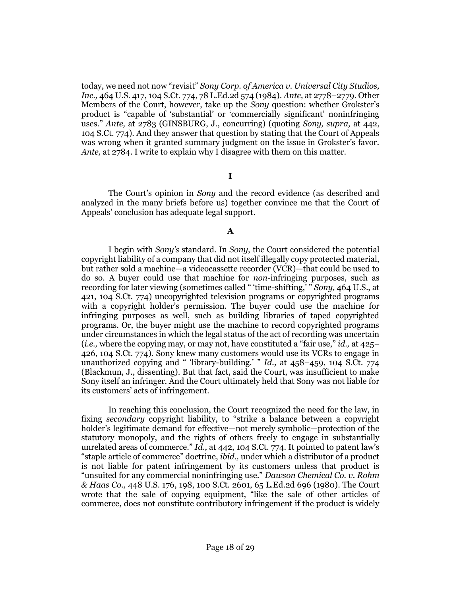today, we need not now "revisit" *[Sony Corp. of America v. Universal City Studios,](http://www.westlaw.com/Link/Document/FullText?findType=Y&serNum=1984103021&pubNum=0000708&originatingDoc=I3fb03e97e5d511d983e7e9deff98dc6f&refType=RP&originationContext=document&vr=3.0&rs=cblt1.0&transitionType=DocumentItem&contextData=(sc.UserEnteredCitation))  Inc.,* [464 U.S. 417, 104 S.Ct. 774, 78 L.Ed.2d 574 \(1984\).](http://www.westlaw.com/Link/Document/FullText?findType=Y&serNum=1984103021&pubNum=0000708&originatingDoc=I3fb03e97e5d511d983e7e9deff98dc6f&refType=RP&originationContext=document&vr=3.0&rs=cblt1.0&transitionType=DocumentItem&contextData=(sc.UserEnteredCitation)) *Ante,* at 2778–2779. Other Members of the Court, however, take up the *[Sony](http://www.westlaw.com/Link/Document/FullText?findType=Y&serNum=1984103021&pubNum=708&originatingDoc=I3fb03e97e5d511d983e7e9deff98dc6f&refType=CC&originationContext=document&vr=3.0&rs=cblt1.0&transitionType=DocumentItem&contextData=(sc.UserEnteredCitation))* question: whether Grokster's product is "capable of 'substantial' or 'commercially significant' noninfringing uses." *Ante,* at 2783 (GINSBURG, J., concurring) (quoting *[Sony, supra,](http://www.westlaw.com/Link/Document/FullText?findType=Y&serNum=1984103021&pubNum=708&originatingDoc=I3fb03e97e5d511d983e7e9deff98dc6f&refType=RP&originationContext=document&vr=3.0&rs=cblt1.0&transitionType=DocumentItem&contextData=(sc.UserEnteredCitation))* at 442, [104 S.Ct. 774\).](http://www.westlaw.com/Link/Document/FullText?findType=Y&serNum=1984103021&pubNum=708&originatingDoc=I3fb03e97e5d511d983e7e9deff98dc6f&refType=RP&originationContext=document&vr=3.0&rs=cblt1.0&transitionType=DocumentItem&contextData=(sc.UserEnteredCitation)) And they answer that question by stating that the Court of Appeals was wrong when it granted summary judgment on the issue in Grokster's favor. *Ante,* at 2784. I write to explain why I disagree with them on this matter.

**I**

The Court's opinion in *[Sony](http://www.westlaw.com/Link/Document/FullText?findType=Y&serNum=1984103021&pubNum=708&originatingDoc=I3fb03e97e5d511d983e7e9deff98dc6f&refType=CC&originationContext=document&vr=3.0&rs=cblt1.0&transitionType=DocumentItem&contextData=(sc.UserEnteredCitation))* and the record evidence (as described and analyzed in the many briefs before us) together convince me that the Court of Appeals' conclusion has adequate legal support.

## **A**

I begin with *[Sony's](http://www.westlaw.com/Link/Document/FullText?findType=Y&serNum=1984103021&pubNum=708&originatingDoc=I3fb03e97e5d511d983e7e9deff98dc6f&refType=CC&originationContext=document&vr=3.0&rs=cblt1.0&transitionType=DocumentItem&contextData=(sc.UserEnteredCitation))* standard. In *[Sony](http://www.westlaw.com/Link/Document/FullText?findType=Y&serNum=1984103021&pubNum=708&originatingDoc=I3fb03e97e5d511d983e7e9deff98dc6f&refType=CC&originationContext=document&vr=3.0&rs=cblt1.0&transitionType=DocumentItem&contextData=(sc.UserEnteredCitation))*, the Court considered the potential copyright liability of a company that did not itself illegally copy protected material, but rather sold a machine—a videocassette recorder (VCR)—that could be used to do so. A buyer could use that machine for *non*-infringing purposes, such as recording for later viewing (sometimes called " 'time-shifting,' " *Sony,* [464 U.S., at](http://www.westlaw.com/Link/Document/FullText?findType=Y&serNum=1984103021&pubNum=708&originatingDoc=I3fb03e97e5d511d983e7e9deff98dc6f&refType=RP&originationContext=document&vr=3.0&rs=cblt1.0&transitionType=DocumentItem&contextData=(sc.UserEnteredCitation))  [421, 104 S.Ct. 774\)](http://www.westlaw.com/Link/Document/FullText?findType=Y&serNum=1984103021&pubNum=708&originatingDoc=I3fb03e97e5d511d983e7e9deff98dc6f&refType=RP&originationContext=document&vr=3.0&rs=cblt1.0&transitionType=DocumentItem&contextData=(sc.UserEnteredCitation)) uncopyrighted television programs or copyrighted programs with a copyright holder's permission. The buyer could use the machine for infringing purposes as well, such as building libraries of taped copyrighted programs. Or, the buyer might use the machine to record copyrighted programs under circumstances in which the legal status of the act of recording was uncertain (*i.e.,* where the copying may, or may not, have constituted a "fair use," *id.,* [at 425](http://www.westlaw.com/Link/Document/FullText?findType=Y&serNum=1984103021&pubNum=708&originatingDoc=I3fb03e97e5d511d983e7e9deff98dc6f&refType=RP&originationContext=document&vr=3.0&rs=cblt1.0&transitionType=DocumentItem&contextData=(sc.UserEnteredCitation))– [426, 104 S.Ct. 774\).](http://www.westlaw.com/Link/Document/FullText?findType=Y&serNum=1984103021&pubNum=708&originatingDoc=I3fb03e97e5d511d983e7e9deff98dc6f&refType=RP&originationContext=document&vr=3.0&rs=cblt1.0&transitionType=DocumentItem&contextData=(sc.UserEnteredCitation)) Sony knew many customers would use its VCRs to engage in unauthorized copying and " 'library-building.' " *Id.,* at 458–[459, 104 S.Ct. 774](http://www.westlaw.com/Link/Document/FullText?findType=Y&serNum=1984103021&pubNum=708&originatingDoc=I3fb03e97e5d511d983e7e9deff98dc6f&refType=RP&originationContext=document&vr=3.0&rs=cblt1.0&transitionType=DocumentItem&contextData=(sc.UserEnteredCitation)) (Blackmun, J., dissenting). But that fact, said the Court, was insufficient to make Sony itself an infringer. And the Court ultimately held that Sony was not liable for its customers' acts of infringement.

In reaching this conclusion, the Court recognized the need for the law, in fixing *secondary* copyright liability, to "strike a balance between a copyright holder's legitimate demand for effective—not merely symbolic—protection of the statutory monopoly, and the rights of others freely to engage in substantially unrelated areas of commerce." *Id.,* [at 442, 104 S.Ct. 774.](http://www.westlaw.com/Link/Document/FullText?findType=Y&serNum=1984103021&pubNum=708&originatingDoc=I3fb03e97e5d511d983e7e9deff98dc6f&refType=RP&originationContext=document&vr=3.0&rs=cblt1.0&transitionType=DocumentItem&contextData=(sc.UserEnteredCitation)) It pointed to patent law's "staple article of commerce" doctrine, *ibid.,* under which a distributor of a product is not liable for patent infringement by its customers unless that product is "unsuited for any commercial noninfringing use." *[Dawson Chemical Co. v. Rohm](http://www.westlaw.com/Link/Document/FullText?findType=Y&serNum=1980116803&pubNum=0000708&originatingDoc=I3fb03e97e5d511d983e7e9deff98dc6f&refType=RP&originationContext=document&vr=3.0&rs=cblt1.0&transitionType=DocumentItem&contextData=(sc.UserEnteredCitation))  & Haas Co.,* [448 U.S. 176, 198, 100 S.Ct. 2601, 65 L.Ed.2d 696 \(1980\).](http://www.westlaw.com/Link/Document/FullText?findType=Y&serNum=1980116803&pubNum=0000708&originatingDoc=I3fb03e97e5d511d983e7e9deff98dc6f&refType=RP&originationContext=document&vr=3.0&rs=cblt1.0&transitionType=DocumentItem&contextData=(sc.UserEnteredCitation)) The Court wrote that the sale of copying equipment, "like the sale of other articles of commerce, does not constitute contributory infringement if the product is widely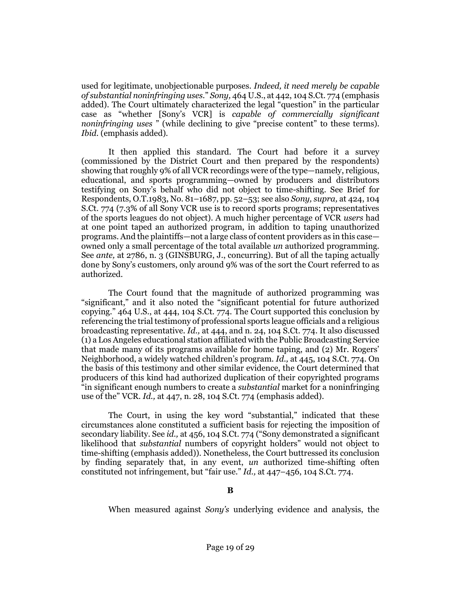used for legitimate, unobjectionable purposes. *Indeed, it need merely be capable of substantial noninfringing uses.*" *Sony,* [464 U.S., at 442, 104 S.Ct. 774](http://www.westlaw.com/Link/Document/FullText?findType=Y&serNum=1984103021&pubNum=0000708&originatingDoc=I3fb03e97e5d511d983e7e9deff98dc6f&refType=RP&originationContext=document&vr=3.0&rs=cblt1.0&transitionType=DocumentItem&contextData=(sc.UserEnteredCitation)) (emphasis added). The Court ultimately characterized the legal "question" in the particular case as "whether [Sony's VCR] is *capable of commercially significant noninfringing uses* " (while declining to give "precise content" to these terms). *Ibid.* (emphasis added).

It then applied this standard. The Court had before it a survey (commissioned by the District Court and then prepared by the respondents) showing that roughly 9% of all VCR recordings were of the type—namely, religious, educational, and sports programming—owned by producers and distributors testifying on Sony's behalf who did not object to time-shifting. See Brief for Respondents, O.T.1983, No. 81–1687, pp. 52–53; see also *[Sony, supra,](http://www.westlaw.com/Link/Document/FullText?findType=Y&serNum=1984103021&pubNum=708&originatingDoc=I3fb03e97e5d511d983e7e9deff98dc6f&refType=RP&originationContext=document&vr=3.0&rs=cblt1.0&transitionType=DocumentItem&contextData=(sc.UserEnteredCitation))* at 424, 104 [S.Ct. 774](http://www.westlaw.com/Link/Document/FullText?findType=Y&serNum=1984103021&pubNum=708&originatingDoc=I3fb03e97e5d511d983e7e9deff98dc6f&refType=RP&originationContext=document&vr=3.0&rs=cblt1.0&transitionType=DocumentItem&contextData=(sc.UserEnteredCitation)) (7.3% of all Sony VCR use is to record sports programs; representatives of the sports leagues do not object). A much higher percentage of VCR *users* had at one point taped an authorized program, in addition to taping unauthorized programs. And the plaintiffs—not a large class of content providers as in this case owned only a small percentage of the total available *un* authorized programming. See *ante,* at 2786, n. 3 (GINSBURG, J., concurring). But of all the taping actually done by Sony's customers, only around 9% was of the sort the Court referred to as authorized.

The Court found that the magnitude of authorized programming was "significant," and it also noted the "significant potential for future authorized copying." [464 U.S., at 444, 104 S.Ct. 774.](http://www.westlaw.com/Link/Document/FullText?findType=Y&serNum=1984103021&pubNum=708&originatingDoc=I3fb03e97e5d511d983e7e9deff98dc6f&refType=RP&originationContext=document&vr=3.0&rs=cblt1.0&transitionType=DocumentItem&contextData=(sc.UserEnteredCitation)) The Court supported this conclusion by referencing the trial testimony of professional sports league officials and a religious broadcasting representative. *Id.,* [at 444, and n. 24, 104 S.Ct. 774.](http://www.westlaw.com/Link/Document/FullText?findType=Y&serNum=1984103021&pubNum=708&originatingDoc=I3fb03e97e5d511d983e7e9deff98dc6f&refType=RP&originationContext=document&vr=3.0&rs=cblt1.0&transitionType=DocumentItem&contextData=(sc.UserEnteredCitation)) It also discussed (1) a Los Angeles educational station affiliated with the Public Broadcasting Service that made many of its programs available for home taping, and (2) Mr. Rogers' Neighborhood, a widely watched children's program. *Id.,* [at 445, 104 S.Ct. 774.](http://www.westlaw.com/Link/Document/FullText?findType=Y&serNum=1984103021&pubNum=708&originatingDoc=I3fb03e97e5d511d983e7e9deff98dc6f&refType=RP&originationContext=document&vr=3.0&rs=cblt1.0&transitionType=DocumentItem&contextData=(sc.UserEnteredCitation)) On the basis of this testimony and other similar evidence, the Court determined that producers of this kind had authorized duplication of their copyrighted programs "in significant enough numbers to create a *substantial* market for a noninfringing use of the" VCR. *Id.,* [at 447, n. 28, 104 S.Ct. 774](http://www.westlaw.com/Link/Document/FullText?findType=Y&serNum=1984103021&pubNum=708&originatingDoc=I3fb03e97e5d511d983e7e9deff98dc6f&refType=RP&originationContext=document&vr=3.0&rs=cblt1.0&transitionType=DocumentItem&contextData=(sc.UserEnteredCitation)) (emphasis added).

The Court, in using the key word "substantial," indicated that these circumstances alone constituted a sufficient basis for rejecting the imposition of secondary liability. See *id.,* [at 456, 104 S.Ct. 774](http://www.westlaw.com/Link/Document/FullText?findType=Y&serNum=1984103021&pubNum=708&originatingDoc=I3fb03e97e5d511d983e7e9deff98dc6f&refType=RP&originationContext=document&vr=3.0&rs=cblt1.0&transitionType=DocumentItem&contextData=(sc.UserEnteredCitation)) ("Sony demonstrated a significant likelihood that *substantial* numbers of copyright holders" would not object to time-shifting (emphasis added)). Nonetheless, the Court buttressed its conclusion by finding separately that, in any event, *un* authorized time-shifting often constituted not infringement, but "fair use." *Id.,* at 447–[456, 104 S.Ct. 774.](http://www.westlaw.com/Link/Document/FullText?findType=Y&serNum=1984103021&pubNum=708&originatingDoc=I3fb03e97e5d511d983e7e9deff98dc6f&refType=RP&originationContext=document&vr=3.0&rs=cblt1.0&transitionType=DocumentItem&contextData=(sc.UserEnteredCitation))

## **B**

When measured against *[Sony's](http://www.westlaw.com/Link/Document/FullText?findType=Y&serNum=1984103021&pubNum=708&originatingDoc=I3fb03e97e5d511d983e7e9deff98dc6f&refType=CC&originationContext=document&vr=3.0&rs=cblt1.0&transitionType=DocumentItem&contextData=(sc.UserEnteredCitation))* underlying evidence and analysis, the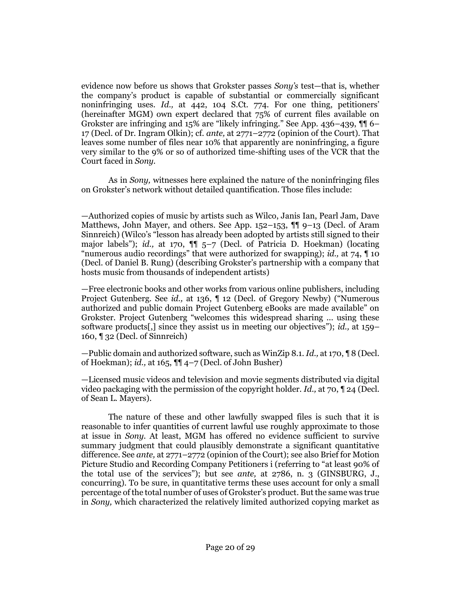evidence now before us shows that Grokster passes *[Sony's](http://www.westlaw.com/Link/Document/FullText?findType=Y&serNum=1984103021&pubNum=708&originatingDoc=I3fb03e97e5d511d983e7e9deff98dc6f&refType=CC&originationContext=document&vr=3.0&rs=cblt1.0&transitionType=DocumentItem&contextData=(sc.UserEnteredCitation))* test—that is, whether the company's product is capable of substantial or commercially significant noninfringing uses. *Id.,* [at 442, 104 S.Ct. 774.](http://www.westlaw.com/Link/Document/FullText?findType=Y&serNum=1984103021&pubNum=708&originatingDoc=I3fb03e97e5d511d983e7e9deff98dc6f&refType=RP&originationContext=document&vr=3.0&rs=cblt1.0&transitionType=DocumentItem&contextData=(sc.UserEnteredCitation)) For one thing, petitioners' (hereinafter MGM) own expert declared that 75% of current files available on Grokster are infringing and 15% are "likely infringing." See App. 436–439, ¶¶ 6– 17 (Decl. of Dr. Ingram Olkin); cf. *ante,* at 2771–2772 (opinion of the Court). That leaves some number of files near 10% that apparently are noninfringing, a figure very similar to the 9% or so of authorized time-shifting uses of the VCR that the Court faced in *[Sony.](http://www.westlaw.com/Link/Document/FullText?findType=Y&serNum=1984103021&pubNum=708&originatingDoc=I3fb03e97e5d511d983e7e9deff98dc6f&refType=CC&originationContext=document&vr=3.0&rs=cblt1.0&transitionType=DocumentItem&contextData=(sc.UserEnteredCitation))*

As in *[Sony,](http://www.westlaw.com/Link/Document/FullText?findType=Y&serNum=1984103021&pubNum=708&originatingDoc=I3fb03e97e5d511d983e7e9deff98dc6f&refType=CC&originationContext=document&vr=3.0&rs=cblt1.0&transitionType=DocumentItem&contextData=(sc.UserEnteredCitation))* witnesses here explained the nature of the noninfringing files on Grokster's network without detailed quantification. Those files include:

—Authorized copies of music by artists such as Wilco, Janis Ian, Pearl Jam, Dave Matthews, John Mayer, and others. See App.  $152-153$ ,  $\P$  9–13 (Decl. of Aram Sinnreich) (Wilco's "lesson has already been adopted by artists still signed to their major labels"); *id.,* at 170, ¶¶ 5–7 (Decl. of Patricia D. Hoekman) (locating "numerous audio recordings" that were authorized for swapping); *id.,* at 74, ¶ 10 (Decl. of Daniel B. Rung) (describing Grokster's partnership with a company that hosts music from thousands of independent artists)

—Free electronic books and other works from various online publishers, including Project Gutenberg. See *id.,* at 136, ¶ 12 (Decl. of Gregory Newby) ("Numerous authorized and public domain Project Gutenberg eBooks are made available" on Grokster. Project Gutenberg "welcomes this widespread sharing ... using these software products[,] since they assist us in meeting our objectives"); *id.,* at 159– 160, ¶ 32 (Decl. of Sinnreich)

—Public domain and authorized software, such as WinZip 8.1. *Id.,* at 170, ¶ 8 (Decl. of Hoekman); *id.,* at 165, ¶¶ 4–7 (Decl. of John Busher)

—Licensed music videos and television and movie segments distributed via digital video packaging with the permission of the copyright holder. *Id.,* at 70, ¶ 24 (Decl. of Sean L. Mayers).

The nature of these and other lawfully swapped files is such that it is reasonable to infer quantities of current lawful use roughly approximate to those at issue in *[Sony.](http://www.westlaw.com/Link/Document/FullText?findType=Y&serNum=1984103021&pubNum=708&originatingDoc=I3fb03e97e5d511d983e7e9deff98dc6f&refType=CC&originationContext=document&vr=3.0&rs=cblt1.0&transitionType=DocumentItem&contextData=(sc.UserEnteredCitation))* At least, MGM has offered no evidence sufficient to survive summary judgment that could plausibly demonstrate a significant quantitative difference. See *ante,* at 2771–2772 (opinion of the Court); see also Brief for Motion Picture Studio and Recording Company Petitioners i (referring to "at least 90% of the total use of the services"); but see *ante,* at 2786, n. 3 (GINSBURG, J., concurring). To be sure, in quantitative terms these uses account for only a small percentage of the total number of uses of Grokster's product. But the same was true in *[Sony,](http://www.westlaw.com/Link/Document/FullText?findType=Y&serNum=1984103021&pubNum=708&originatingDoc=I3fb03e97e5d511d983e7e9deff98dc6f&refType=CC&originationContext=document&vr=3.0&rs=cblt1.0&transitionType=DocumentItem&contextData=(sc.UserEnteredCitation))* which characterized the relatively limited authorized copying market as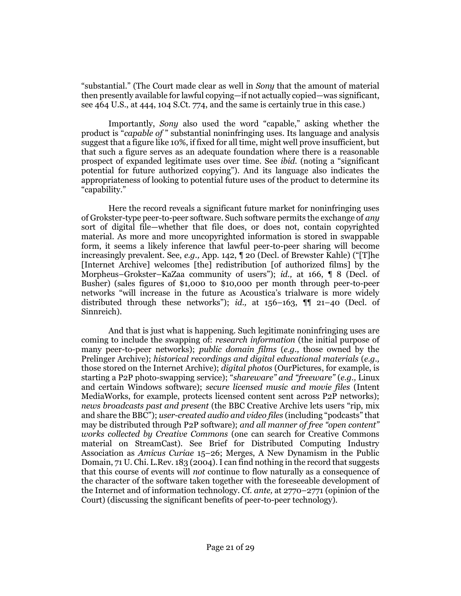"substantial." (The Court made clear as well in *[Sony](http://www.westlaw.com/Link/Document/FullText?findType=Y&serNum=1984103021&pubNum=708&originatingDoc=I3fb03e97e5d511d983e7e9deff98dc6f&refType=CC&originationContext=document&vr=3.0&rs=cblt1.0&transitionType=DocumentItem&contextData=(sc.UserEnteredCitation))* that the amount of material then presently available for lawful copying—if not actually copied—was significant, see [464 U.S., at 444, 104 S.Ct. 774,](http://www.westlaw.com/Link/Document/FullText?findType=Y&serNum=1984103021&pubNum=708&originatingDoc=I3fb03e97e5d511d983e7e9deff98dc6f&refType=RP&originationContext=document&vr=3.0&rs=cblt1.0&transitionType=DocumentItem&contextData=(sc.UserEnteredCitation)) and the same is certainly true in this case.)

Importantly, *[Sony](http://www.westlaw.com/Link/Document/FullText?findType=Y&serNum=1984103021&pubNum=708&originatingDoc=I3fb03e97e5d511d983e7e9deff98dc6f&refType=CC&originationContext=document&vr=3.0&rs=cblt1.0&transitionType=DocumentItem&contextData=(sc.UserEnteredCitation))* also used the word "capable," asking whether the product is "*capable of* " substantial noninfringing uses. Its language and analysis suggest that a figure like 10%, if fixed for all time, might well prove insufficient, but that such a figure serves as an adequate foundation where there is a reasonable prospect of expanded legitimate uses over time. See *ibid.* (noting a "significant potential for future authorized copying"). And its language also indicates the appropriateness of looking to potential future uses of the product to determine its "capability."

Here the record reveals a significant future market for noninfringing uses of Grokster-type peer-to-peer software. Such software permits the exchange of *any*  sort of digital file—whether that file does, or does not, contain copyrighted material. As more and more uncopyrighted information is stored in swappable form, it seems a likely inference that lawful peer-to-peer sharing will become increasingly prevalent. See, *e.g.,* App. 142, ¶ 20 (Decl. of Brewster Kahle) ("[T]he [Internet Archive] welcomes [the] redistribution [of authorized films] by the Morpheus–Grokster–KaZaa community of users"); *id.,* at 166, ¶ 8 (Decl. of Busher) (sales figures of \$1,000 to \$10,000 per month through peer-to-peer networks "will increase in the future as Acoustica's trialware is more widely distributed through these networks"); *id.,* at 156–163, ¶¶ 21–40 (Decl. of Sinnreich).

And that is just what is happening. Such legitimate noninfringing uses are coming to include the swapping of: *research information* (the initial purpose of many peer-to-peer networks); *public domain films* (*e.g.,* those owned by the Prelinger Archive); *historical recordings and digital educational materials* (*e.g.,* those stored on the Internet Archive); *digital photos* (OurPictures, for example, is starting a P2P photo-swapping service); "*shareware" and "freeware"* (*e.g.,* Linux and certain Windows software); *secure licensed music and movie files* (Intent MediaWorks, for example, protects licensed content sent across P2P networks); *news broadcasts past and present* (the BBC Creative Archive lets users "rip, mix and share the BBC"); *user-created audio and video files* (including "podcasts" that may be distributed through P2P software); *and all manner of free "open content" works collected by Creative Commons* (one can search for Creative Commons material on StreamCast). See Brief for Distributed Computing Industry Association as *Amicus Curiae* 15–26; Merges, A [New Dynamism in the Public](http://www.westlaw.com/Link/Document/FullText?findType=Y&serNum=0298811802&pubNum=0003039&originatingDoc=I3fb03e97e5d511d983e7e9deff98dc6f&refType=LR&originationContext=document&vr=3.0&rs=cblt1.0&transitionType=DocumentItem&contextData=(sc.UserEnteredCitation))  [Domain, 71 U. Chi. L.Rev. 183 \(2004\).](http://www.westlaw.com/Link/Document/FullText?findType=Y&serNum=0298811802&pubNum=0003039&originatingDoc=I3fb03e97e5d511d983e7e9deff98dc6f&refType=LR&originationContext=document&vr=3.0&rs=cblt1.0&transitionType=DocumentItem&contextData=(sc.UserEnteredCitation)) I can find nothing in the record that suggests that this course of events will *not* continue to flow naturally as a consequence of the character of the software taken together with the foreseeable development of the Internet and of information technology. Cf. *ante,* at 2770–2771 (opinion of the Court) (discussing the significant benefits of peer-to-peer technology).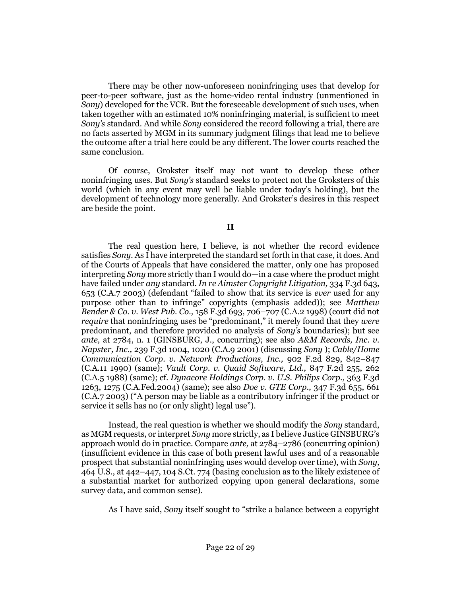There may be other now-unforeseen noninfringing uses that develop for peer-to-peer software, just as the home-video rental industry (unmentioned in *[Sony](http://www.westlaw.com/Link/Document/FullText?findType=Y&serNum=1984103021&pubNum=708&originatingDoc=I3fb03e97e5d511d983e7e9deff98dc6f&refType=CC&originationContext=document&vr=3.0&rs=cblt1.0&transitionType=DocumentItem&contextData=(sc.UserEnteredCitation))*) developed for the VCR. But the foreseeable development of such uses, when taken together with an estimated 10% noninfringing material, is sufficient to meet *[Sony's](http://www.westlaw.com/Link/Document/FullText?findType=Y&serNum=1984103021&pubNum=708&originatingDoc=I3fb03e97e5d511d983e7e9deff98dc6f&refType=CC&originationContext=document&vr=3.0&rs=cblt1.0&transitionType=DocumentItem&contextData=(sc.UserEnteredCitation))* standard. And while *[Sony](http://www.westlaw.com/Link/Document/FullText?findType=Y&serNum=1984103021&pubNum=708&originatingDoc=I3fb03e97e5d511d983e7e9deff98dc6f&refType=CC&originationContext=document&vr=3.0&rs=cblt1.0&transitionType=DocumentItem&contextData=(sc.UserEnteredCitation))* considered the record following a trial, there are no facts asserted by MGM in its summary judgment filings that lead me to believe the outcome after a trial here could be any different. The lower courts reached the same conclusion.

Of course, Grokster itself may not want to develop these other noninfringing uses. But *[Sony's](http://www.westlaw.com/Link/Document/FullText?findType=Y&serNum=1984103021&pubNum=708&originatingDoc=I3fb03e97e5d511d983e7e9deff98dc6f&refType=CC&originationContext=document&vr=3.0&rs=cblt1.0&transitionType=DocumentItem&contextData=(sc.UserEnteredCitation))* standard seeks to protect not the Groksters of this world (which in any event may well be liable under today's holding), but the development of technology more generally. And Grokster's desires in this respect are beside the point.

**II**

The real question here, I believe, is not whether the record evidence satisfies *[Sony.](http://www.westlaw.com/Link/Document/FullText?findType=Y&serNum=1984103021&pubNum=708&originatingDoc=I3fb03e97e5d511d983e7e9deff98dc6f&refType=CC&originationContext=document&vr=3.0&rs=cblt1.0&transitionType=DocumentItem&contextData=(sc.UserEnteredCitation))* As I have interpreted the standard set forth in that case, it does. And of the Courts of Appeals that have considered the matter, only one has proposed interpreting *[Sony](http://www.westlaw.com/Link/Document/FullText?findType=Y&serNum=1984103021&pubNum=708&originatingDoc=I3fb03e97e5d511d983e7e9deff98dc6f&refType=CC&originationContext=document&vr=3.0&rs=cblt1.0&transitionType=DocumentItem&contextData=(sc.UserEnteredCitation))* more strictly than I would do—in a case where the product might have failed under *any* standard. *[In re Aimster Copyright Litigation,](http://www.westlaw.com/Link/Document/FullText?findType=Y&serNum=2003460063&pubNum=0000506&originatingDoc=I3fb03e97e5d511d983e7e9deff98dc6f&refType=RP&fi=co_pp_sp_506_653&originationContext=document&vr=3.0&rs=cblt1.0&transitionType=DocumentItem&contextData=(sc.UserEnteredCitation)#co_pp_sp_506_653)* 334 F.3d 643, [653 \(C.A.7 2003\)](http://www.westlaw.com/Link/Document/FullText?findType=Y&serNum=2003460063&pubNum=0000506&originatingDoc=I3fb03e97e5d511d983e7e9deff98dc6f&refType=RP&fi=co_pp_sp_506_653&originationContext=document&vr=3.0&rs=cblt1.0&transitionType=DocumentItem&contextData=(sc.UserEnteredCitation)#co_pp_sp_506_653) (defendant "failed to show that its service is *ever* used for any purpose other than to infringe" copyrights (emphasis added)); see *[Matthew](http://www.westlaw.com/Link/Document/FullText?findType=Y&serNum=1998225336&pubNum=0000506&originatingDoc=I3fb03e97e5d511d983e7e9deff98dc6f&refType=RP&fi=co_pp_sp_506_706&originationContext=document&vr=3.0&rs=cblt1.0&transitionType=DocumentItem&contextData=(sc.UserEnteredCitation)#co_pp_sp_506_706)  [Bender & Co. v. West Pub. Co.,](http://www.westlaw.com/Link/Document/FullText?findType=Y&serNum=1998225336&pubNum=0000506&originatingDoc=I3fb03e97e5d511d983e7e9deff98dc6f&refType=RP&fi=co_pp_sp_506_706&originationContext=document&vr=3.0&rs=cblt1.0&transitionType=DocumentItem&contextData=(sc.UserEnteredCitation)#co_pp_sp_506_706)* 158 F.3d 693, 706–707 (C.A.2 1998) (court did not *require* that noninfringing uses be "predominant," it merely found that they *were*  predominant, and therefore provided no analysis of *[Sony's](http://www.westlaw.com/Link/Document/FullText?findType=Y&serNum=1984103021&pubNum=708&originatingDoc=I3fb03e97e5d511d983e7e9deff98dc6f&refType=CC&originationContext=document&vr=3.0&rs=cblt1.0&transitionType=DocumentItem&contextData=(sc.UserEnteredCitation))* boundaries); but see *ante,* at 2784, n. 1 (GINSBURG, J., concurring); see also *[A&M Records, Inc. v.](http://www.westlaw.com/Link/Document/FullText?findType=Y&serNum=2001141036&pubNum=0000506&originatingDoc=I3fb03e97e5d511d983e7e9deff98dc6f&refType=RP&fi=co_pp_sp_506_1020&originationContext=document&vr=3.0&rs=cblt1.0&transitionType=DocumentItem&contextData=(sc.UserEnteredCitation)#co_pp_sp_506_1020)  Napster, Inc.,* [239 F.3d 1004, 1020 \(C.A.9 2001\)](http://www.westlaw.com/Link/Document/FullText?findType=Y&serNum=2001141036&pubNum=0000506&originatingDoc=I3fb03e97e5d511d983e7e9deff98dc6f&refType=RP&fi=co_pp_sp_506_1020&originationContext=document&vr=3.0&rs=cblt1.0&transitionType=DocumentItem&contextData=(sc.UserEnteredCitation)#co_pp_sp_506_1020) (discussing *[Sony](http://www.westlaw.com/Link/Document/FullText?findType=Y&serNum=1984103021&pubNum=708&originatingDoc=I3fb03e97e5d511d983e7e9deff98dc6f&refType=CC&originationContext=document&vr=3.0&rs=cblt1.0&transitionType=DocumentItem&contextData=(sc.UserEnteredCitation))* ); *[Cable/Home](http://www.westlaw.com/Link/Document/FullText?findType=Y&serNum=1990080288&pubNum=0000350&originatingDoc=I3fb03e97e5d511d983e7e9deff98dc6f&refType=RP&fi=co_pp_sp_350_842&originationContext=document&vr=3.0&rs=cblt1.0&transitionType=DocumentItem&contextData=(sc.UserEnteredCitation)#co_pp_sp_350_842)  [Communication Corp. v. Network Productions, Inc.,](http://www.westlaw.com/Link/Document/FullText?findType=Y&serNum=1990080288&pubNum=0000350&originatingDoc=I3fb03e97e5d511d983e7e9deff98dc6f&refType=RP&fi=co_pp_sp_350_842&originationContext=document&vr=3.0&rs=cblt1.0&transitionType=DocumentItem&contextData=(sc.UserEnteredCitation)#co_pp_sp_350_842)* 902 F.2d 829, 842–847 [\(C.A.11 1990\)](http://www.westlaw.com/Link/Document/FullText?findType=Y&serNum=1990080288&pubNum=0000350&originatingDoc=I3fb03e97e5d511d983e7e9deff98dc6f&refType=RP&fi=co_pp_sp_350_842&originationContext=document&vr=3.0&rs=cblt1.0&transitionType=DocumentItem&contextData=(sc.UserEnteredCitation)#co_pp_sp_350_842) (same); *[Vault Corp. v. Quaid Software, Ltd.,](http://www.westlaw.com/Link/Document/FullText?findType=Y&serNum=1988073234&pubNum=0000350&originatingDoc=I3fb03e97e5d511d983e7e9deff98dc6f&refType=RP&fi=co_pp_sp_350_262&originationContext=document&vr=3.0&rs=cblt1.0&transitionType=DocumentItem&contextData=(sc.UserEnteredCitation)#co_pp_sp_350_262)* 847 F.2d 255, 262 [\(C.A.5 1988\)](http://www.westlaw.com/Link/Document/FullText?findType=Y&serNum=1988073234&pubNum=0000350&originatingDoc=I3fb03e97e5d511d983e7e9deff98dc6f&refType=RP&fi=co_pp_sp_350_262&originationContext=document&vr=3.0&rs=cblt1.0&transitionType=DocumentItem&contextData=(sc.UserEnteredCitation)#co_pp_sp_350_262) (same); cf. *[Dynacore Holdings Corp. v. U.S. Philips Corp.,](http://www.westlaw.com/Link/Document/FullText?findType=Y&serNum=2004278741&pubNum=0000506&originatingDoc=I3fb03e97e5d511d983e7e9deff98dc6f&refType=RP&fi=co_pp_sp_506_1275&originationContext=document&vr=3.0&rs=cblt1.0&transitionType=DocumentItem&contextData=(sc.UserEnteredCitation)#co_pp_sp_506_1275)* 363 F.3d [1263, 1275 \(C.A.Fed.2004\)](http://www.westlaw.com/Link/Document/FullText?findType=Y&serNum=2004278741&pubNum=0000506&originatingDoc=I3fb03e97e5d511d983e7e9deff98dc6f&refType=RP&fi=co_pp_sp_506_1275&originationContext=document&vr=3.0&rs=cblt1.0&transitionType=DocumentItem&contextData=(sc.UserEnteredCitation)#co_pp_sp_506_1275) (same); see also *[Doe v. GTE Corp.,](http://www.westlaw.com/Link/Document/FullText?findType=Y&serNum=2003712095&pubNum=506&originatingDoc=I3fb03e97e5d511d983e7e9deff98dc6f&refType=RP&fi=co_pp_sp_506_661&originationContext=document&vr=3.0&rs=cblt1.0&transitionType=DocumentItem&contextData=(sc.UserEnteredCitation)#co_pp_sp_506_661)* 347 F.3d 655, 661 [\(C.A.7 2003\)](http://www.westlaw.com/Link/Document/FullText?findType=Y&serNum=2003712095&pubNum=506&originatingDoc=I3fb03e97e5d511d983e7e9deff98dc6f&refType=RP&fi=co_pp_sp_506_661&originationContext=document&vr=3.0&rs=cblt1.0&transitionType=DocumentItem&contextData=(sc.UserEnteredCitation)#co_pp_sp_506_661) ("A person may be liable as a contributory infringer if the product or service it sells has no (or only slight) legal use").

Instead, the real question is whether we should modify the *[Sony](http://www.westlaw.com/Link/Document/FullText?findType=Y&serNum=1984103021&pubNum=708&originatingDoc=I3fb03e97e5d511d983e7e9deff98dc6f&refType=CC&originationContext=document&vr=3.0&rs=cblt1.0&transitionType=DocumentItem&contextData=(sc.UserEnteredCitation))* standard, as MGM requests, or interpret *[Sony](http://www.westlaw.com/Link/Document/FullText?findType=Y&serNum=1984103021&pubNum=708&originatingDoc=I3fb03e97e5d511d983e7e9deff98dc6f&refType=CC&originationContext=document&vr=3.0&rs=cblt1.0&transitionType=DocumentItem&contextData=(sc.UserEnteredCitation))* more strictly, as I believe Justice GINSBURG's approach would do in practice. Compare *ante,* at 2784–2786 (concurring opinion) (insufficient evidence in this case of both present lawful uses and of a reasonable prospect that substantial noninfringing uses would develop over time), with *[Sony,](http://www.westlaw.com/Link/Document/FullText?findType=Y&serNum=1984103021&pubNum=0000708&originatingDoc=I3fb03e97e5d511d983e7e9deff98dc6f&refType=RP&originationContext=document&vr=3.0&rs=cblt1.0&transitionType=DocumentItem&contextData=(sc.UserEnteredCitation))* 464 U.S., at 442–[447, 104 S.Ct. 774](http://www.westlaw.com/Link/Document/FullText?findType=Y&serNum=1984103021&pubNum=0000708&originatingDoc=I3fb03e97e5d511d983e7e9deff98dc6f&refType=RP&originationContext=document&vr=3.0&rs=cblt1.0&transitionType=DocumentItem&contextData=(sc.UserEnteredCitation)) (basing conclusion as to the likely existence of a substantial market for authorized copying upon general declarations, some survey data, and common sense).

As I have said, *[Sony](http://www.westlaw.com/Link/Document/FullText?findType=Y&serNum=1984103021&pubNum=708&originatingDoc=I3fb03e97e5d511d983e7e9deff98dc6f&refType=CC&originationContext=document&vr=3.0&rs=cblt1.0&transitionType=DocumentItem&contextData=(sc.UserEnteredCitation))* itself sought to "strike a balance between a copyright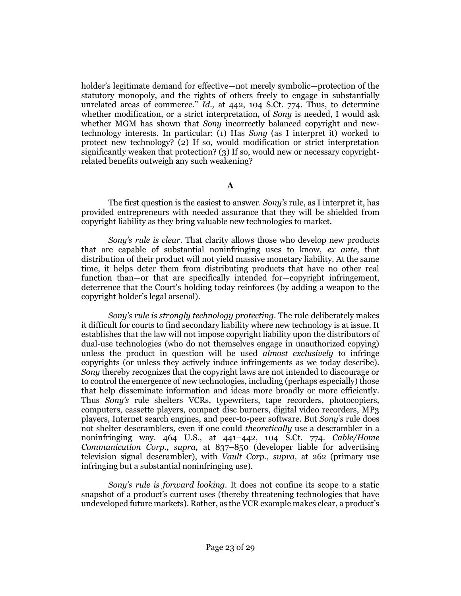holder's legitimate demand for effective—not merely symbolic—protection of the statutory monopoly, and the rights of others freely to engage in substantially unrelated areas of commerce." *Id.,* [at 442, 104 S.Ct. 774.](http://www.westlaw.com/Link/Document/FullText?findType=Y&serNum=1984103021&pubNum=708&originatingDoc=I3fb03e97e5d511d983e7e9deff98dc6f&refType=RP&originationContext=document&vr=3.0&rs=cblt1.0&transitionType=DocumentItem&contextData=(sc.UserEnteredCitation)) Thus, to determine whether modification, or a strict interpretation, of *[Sony](http://www.westlaw.com/Link/Document/FullText?findType=Y&serNum=1984103021&pubNum=708&originatingDoc=I3fb03e97e5d511d983e7e9deff98dc6f&refType=CC&originationContext=document&vr=3.0&rs=cblt1.0&transitionType=DocumentItem&contextData=(sc.UserEnteredCitation))* is needed, I would ask whether MGM has shown that *[Sony](http://www.westlaw.com/Link/Document/FullText?findType=Y&serNum=1984103021&pubNum=708&originatingDoc=I3fb03e97e5d511d983e7e9deff98dc6f&refType=CC&originationContext=document&vr=3.0&rs=cblt1.0&transitionType=DocumentItem&contextData=(sc.UserEnteredCitation))* incorrectly balanced copyright and newtechnology interests. In particular: (1) Has *[Sony](http://www.westlaw.com/Link/Document/FullText?findType=Y&serNum=1984103021&pubNum=708&originatingDoc=I3fb03e97e5d511d983e7e9deff98dc6f&refType=CC&originationContext=document&vr=3.0&rs=cblt1.0&transitionType=DocumentItem&contextData=(sc.UserEnteredCitation))* (as I interpret it) worked to protect new technology? (2) If so, would modification or strict interpretation significantly weaken that protection? (3) If so, would new or necessary copyrightrelated benefits outweigh any such weakening?

## **A**

The first question is the easiest to answer. *[Sony's](http://www.westlaw.com/Link/Document/FullText?findType=Y&serNum=1984103021&pubNum=708&originatingDoc=I3fb03e97e5d511d983e7e9deff98dc6f&refType=CC&originationContext=document&vr=3.0&rs=cblt1.0&transitionType=DocumentItem&contextData=(sc.UserEnteredCitation))* rule, as I interpret it, has provided entrepreneurs with needed assurance that they will be shielded from copyright liability as they bring valuable new technologies to market.

*Sony's rule is clear.* That clarity allows those who develop new products that are capable of substantial noninfringing uses to know, *ex ante,* that distribution of their product will not yield massive monetary liability. At the same time, it helps deter them from distributing products that have no other real function than—or that are specifically intended for—copyright infringement, deterrence that the Court's holding today reinforces (by adding a weapon to the copyright holder's legal arsenal).

*Sony's rule is strongly technology protecting.* The rule deliberately makes it difficult for courts to find secondary liability where new technology is at issue. It establishes that the law will not impose copyright liability upon the distributors of dual-use technologies (who do not themselves engage in unauthorized copying) unless the product in question will be used *almost exclusively* to infringe copyrights (or unless they actively induce infringements as we today describe). *[Sony](http://www.westlaw.com/Link/Document/FullText?findType=Y&serNum=1984103021&pubNum=708&originatingDoc=I3fb03e97e5d511d983e7e9deff98dc6f&refType=CC&originationContext=document&vr=3.0&rs=cblt1.0&transitionType=DocumentItem&contextData=(sc.UserEnteredCitation))* thereby recognizes that the copyright laws are not intended to discourage or to control the emergence of new technologies, including (perhaps especially) those that help disseminate information and ideas more broadly or more efficiently. Thus *[Sony's](http://www.westlaw.com/Link/Document/FullText?findType=Y&serNum=1984103021&pubNum=708&originatingDoc=I3fb03e97e5d511d983e7e9deff98dc6f&refType=CC&originationContext=document&vr=3.0&rs=cblt1.0&transitionType=DocumentItem&contextData=(sc.UserEnteredCitation))* rule shelters VCRs, typewriters, tape recorders, photocopiers, computers, cassette players, compact disc burners, digital video recorders, MP3 players, Internet search engines, and peer-to-peer software. But *[Sony's](http://www.westlaw.com/Link/Document/FullText?findType=Y&serNum=1984103021&pubNum=708&originatingDoc=I3fb03e97e5d511d983e7e9deff98dc6f&refType=CC&originationContext=document&vr=3.0&rs=cblt1.0&transitionType=DocumentItem&contextData=(sc.UserEnteredCitation))* rule does not shelter descramblers, even if one could *theoretically* use a descrambler in a noninfringing way. 464 U.S., at 441–[442, 104 S.Ct. 774.](http://www.westlaw.com/Link/Document/FullText?findType=Y&serNum=1984103021&pubNum=0000708&originatingDoc=I3fb03e97e5d511d983e7e9deff98dc6f&refType=RP&originationContext=document&vr=3.0&rs=cblt1.0&transitionType=DocumentItem&contextData=(sc.UserEnteredCitation)) *Cable/Home Communication Corp., supra,* at 837–850 (developer liable for advertising television signal descrambler), with *Vault Corp., supra,* at 262 (primary use infringing but a substantial noninfringing use).

*Sony's rule is forward looking.* It does not confine its scope to a static snapshot of a product's current uses (thereby threatening technologies that have undeveloped future markets). Rather, as the VCR example makes clear, a product's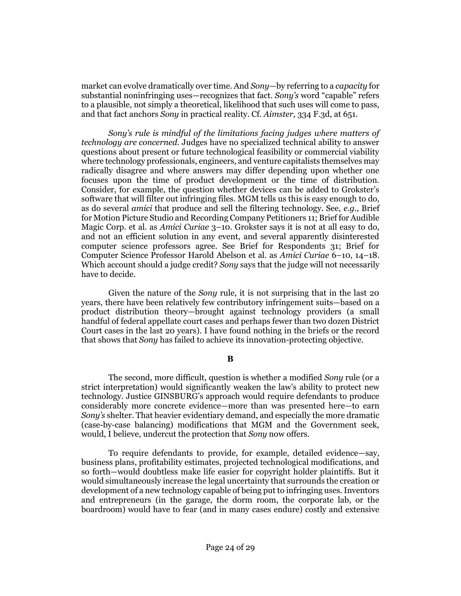market can evolve dramatically over time. And *[Sony](http://www.westlaw.com/Link/Document/FullText?findType=Y&serNum=1984103021&pubNum=708&originatingDoc=I3fb03e97e5d511d983e7e9deff98dc6f&refType=CC&originationContext=document&vr=3.0&rs=cblt1.0&transitionType=DocumentItem&contextData=(sc.UserEnteredCitation))*—by referring to a *capacity* for substantial noninfringing uses—recognizes that fact. *[Sony's](http://www.westlaw.com/Link/Document/FullText?findType=Y&serNum=1984103021&pubNum=708&originatingDoc=I3fb03e97e5d511d983e7e9deff98dc6f&refType=CC&originationContext=document&vr=3.0&rs=cblt1.0&transitionType=DocumentItem&contextData=(sc.UserEnteredCitation))* word "capable" refers to a plausible, not simply a theoretical, likelihood that such uses will come to pass, and that fact anchors *[Sony](http://www.westlaw.com/Link/Document/FullText?findType=Y&serNum=1984103021&pubNum=708&originatingDoc=I3fb03e97e5d511d983e7e9deff98dc6f&refType=CC&originationContext=document&vr=3.0&rs=cblt1.0&transitionType=DocumentItem&contextData=(sc.UserEnteredCitation))* in practical reality. Cf. *Aimster,* [334 F.3d, at 651.](http://www.westlaw.com/Link/Document/FullText?findType=Y&serNum=2003460063&pubNum=0000506&originatingDoc=I3fb03e97e5d511d983e7e9deff98dc6f&refType=RP&fi=co_pp_sp_506_651&originationContext=document&vr=3.0&rs=cblt1.0&transitionType=DocumentItem&contextData=(sc.UserEnteredCitation)#co_pp_sp_506_651)

*Sony's rule is mindful of the limitations facing judges where matters of technology are concerned.* Judges have no specialized technical ability to answer questions about present or future technological feasibility or commercial viability where technology professionals, engineers, and venture capitalists themselves may radically disagree and where answers may differ depending upon whether one focuses upon the time of product development or the time of distribution. Consider, for example, the question whether devices can be added to Grokster's software that will filter out infringing files. MGM tells us this is easy enough to do, as do several *amici* that produce and sell the filtering technology. See, *e.g.,* Brief for Motion Picture Studio and Recording Company Petitioners 11; Brief for Audible Magic Corp. et al. as *Amici Curiae* 3–10. Grokster says it is not at all easy to do, and not an efficient solution in any event, and several apparently disinterested computer science professors agree. See Brief for Respondents 31; Brief for Computer Science Professor Harold Abelson et al. as *Amici Curiae* 6–10, 14–18. Which account should a judge credit? *[Sony](http://www.westlaw.com/Link/Document/FullText?findType=Y&serNum=1984103021&pubNum=708&originatingDoc=I3fb03e97e5d511d983e7e9deff98dc6f&refType=CC&originationContext=document&vr=3.0&rs=cblt1.0&transitionType=DocumentItem&contextData=(sc.UserEnteredCitation))* says that the judge will not necessarily have to decide.

Given the nature of the *[Sony](http://www.westlaw.com/Link/Document/FullText?findType=Y&serNum=1984103021&pubNum=708&originatingDoc=I3fb03e97e5d511d983e7e9deff98dc6f&refType=CC&originationContext=document&vr=3.0&rs=cblt1.0&transitionType=DocumentItem&contextData=(sc.UserEnteredCitation))* rule, it is not surprising that in the last 20 years, there have been relatively few contributory infringement suits—based on a product distribution theory—brought against technology providers (a small handful of federal appellate court cases and perhaps fewer than two dozen District Court cases in the last 20 years). I have found nothing in the briefs or the record that shows that *[Sony](http://www.westlaw.com/Link/Document/FullText?findType=Y&serNum=1984103021&pubNum=708&originatingDoc=I3fb03e97e5d511d983e7e9deff98dc6f&refType=CC&originationContext=document&vr=3.0&rs=cblt1.0&transitionType=DocumentItem&contextData=(sc.UserEnteredCitation))* has failed to achieve its innovation-protecting objective.

#### **B**

The second, more difficult, question is whether a modified *[Sony](http://www.westlaw.com/Link/Document/FullText?findType=Y&serNum=1984103021&pubNum=708&originatingDoc=I3fb03e97e5d511d983e7e9deff98dc6f&refType=CC&originationContext=document&vr=3.0&rs=cblt1.0&transitionType=DocumentItem&contextData=(sc.UserEnteredCitation))* rule (or a strict interpretation) would significantly weaken the law's ability to protect new technology. Justice GINSBURG's approach would require defendants to produce considerably more concrete evidence—more than was presented here—to earn *[Sony's](http://www.westlaw.com/Link/Document/FullText?findType=Y&serNum=1984103021&pubNum=708&originatingDoc=I3fb03e97e5d511d983e7e9deff98dc6f&refType=CC&originationContext=document&vr=3.0&rs=cblt1.0&transitionType=DocumentItem&contextData=(sc.UserEnteredCitation))* shelter. That heavier evidentiary demand, and especially the more dramatic (case-by-case balancing) modifications that MGM and the Government seek, would, I believe, undercut the protection that *[Sony](http://www.westlaw.com/Link/Document/FullText?findType=Y&serNum=1984103021&pubNum=708&originatingDoc=I3fb03e97e5d511d983e7e9deff98dc6f&refType=CC&originationContext=document&vr=3.0&rs=cblt1.0&transitionType=DocumentItem&contextData=(sc.UserEnteredCitation))* now offers.

To require defendants to provide, for example, detailed evidence—say, business plans, profitability estimates, projected technological modifications, and so forth—would doubtless make life easier for copyright holder plaintiffs. But it would simultaneously increase the legal uncertainty that surrounds the creation or development of a new technology capable of being put to infringing uses. Inventors and entrepreneurs (in the garage, the dorm room, the corporate lab, or the boardroom) would have to fear (and in many cases endure) costly and extensive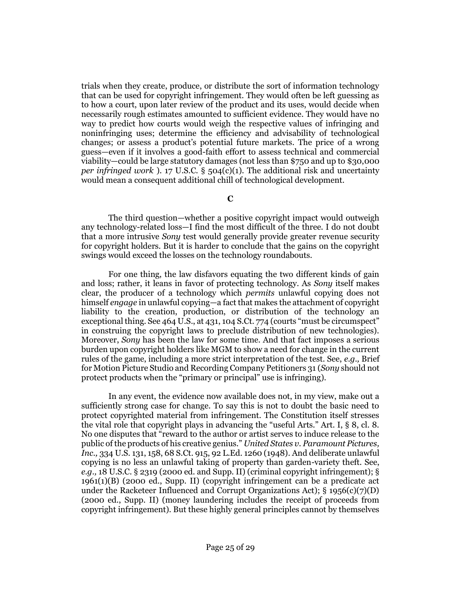trials when they create, produce, or distribute the sort of information technology that can be used for copyright infringement. They would often be left guessing as to how a court, upon later review of the product and its uses, would decide when necessarily rough estimates amounted to sufficient evidence. They would have no way to predict how courts would weigh the respective values of infringing and noninfringing uses; determine the efficiency and advisability of technological changes; or assess a product's potential future markets. The price of a wrong guess—even if it involves a good-faith effort to assess technical and commercial viability—could be large statutory damages (not less than \$750 and up to \$30,000 *per infringed work* ). [17 U.S.C. § 504\(c\)\(1\).](http://www.westlaw.com/Link/Document/FullText?findType=L&pubNum=1000546&cite=17USCAS504&originatingDoc=I3fb03e97e5d511d983e7e9deff98dc6f&refType=RB&originationContext=document&vr=3.0&rs=cblt1.0&transitionType=DocumentItem&contextData=(sc.UserEnteredCitation)#co_pp_10c0000001331) The additional risk and uncertainty would mean a consequent additional chill of technological development.

**C**

The third question—whether a positive copyright impact would outweigh any technology-related loss—I find the most difficult of the three. I do not doubt that a more intrusive *[Sony](http://www.westlaw.com/Link/Document/FullText?findType=Y&serNum=1984103021&pubNum=708&originatingDoc=I3fb03e97e5d511d983e7e9deff98dc6f&refType=CC&originationContext=document&vr=3.0&rs=cblt1.0&transitionType=DocumentItem&contextData=(sc.UserEnteredCitation))* test would generally provide greater revenue security for copyright holders. But it is harder to conclude that the gains on the copyright swings would exceed the losses on the technology roundabouts.

For one thing, the law disfavors equating the two different kinds of gain and loss; rather, it leans in favor of protecting technology. As *[Sony](http://www.westlaw.com/Link/Document/FullText?findType=Y&serNum=1984103021&pubNum=708&originatingDoc=I3fb03e97e5d511d983e7e9deff98dc6f&refType=CC&originationContext=document&vr=3.0&rs=cblt1.0&transitionType=DocumentItem&contextData=(sc.UserEnteredCitation))* itself makes clear, the producer of a technology which *permits* unlawful copying does not himself *engage* in unlawful copying—a fact that makes the attachment of copyright liability to the creation, production, or distribution of the technology an exceptional thing. Se[e 464 U.S., at 431, 104 S.Ct. 774](http://www.westlaw.com/Link/Document/FullText?findType=Y&serNum=1984103021&pubNum=0000708&originatingDoc=I3fb03e97e5d511d983e7e9deff98dc6f&refType=RP&originationContext=document&vr=3.0&rs=cblt1.0&transitionType=DocumentItem&contextData=(sc.UserEnteredCitation)) (courts "must be circumspect" in construing the copyright laws to preclude distribution of new technologies). Moreover, *[Sony](http://www.westlaw.com/Link/Document/FullText?findType=Y&serNum=1984103021&pubNum=708&originatingDoc=I3fb03e97e5d511d983e7e9deff98dc6f&refType=CC&originationContext=document&vr=3.0&rs=cblt1.0&transitionType=DocumentItem&contextData=(sc.UserEnteredCitation))* has been the law for some time. And that fact imposes a serious burden upon copyright holders like MGM to show a need for change in the current rules of the game, including a more strict interpretation of the test. See, *e.g.,* Brief for Motion Picture Studio and Recording Company Petitioners 31 (*[Sony](http://www.westlaw.com/Link/Document/FullText?findType=Y&serNum=1984103021&pubNum=708&originatingDoc=I3fb03e97e5d511d983e7e9deff98dc6f&refType=CC&originationContext=document&vr=3.0&rs=cblt1.0&transitionType=DocumentItem&contextData=(sc.UserEnteredCitation))* should not protect products when the "primary or principal" use is infringing).

In any event, the evidence now available does not, in my view, make out a sufficiently strong case for change. To say this is not to doubt the basic need to protect copyrighted material from infringement. The Constitution itself stresses the vital role that copyright plays in advancing the "useful Arts." Art. I, § 8, cl. 8. No one disputes that "reward to the author or artist serves to induce release to the public of the products of his creative genius." *[United States v. Paramount Pictures,](http://www.westlaw.com/Link/Document/FullText?findType=Y&serNum=1948118957&pubNum=0000708&originatingDoc=I3fb03e97e5d511d983e7e9deff98dc6f&refType=RP&originationContext=document&vr=3.0&rs=cblt1.0&transitionType=DocumentItem&contextData=(sc.UserEnteredCitation))  Inc.,* [334 U.S. 131, 158, 68 S.Ct. 915, 92 L.Ed. 1260 \(1948\).](http://www.westlaw.com/Link/Document/FullText?findType=Y&serNum=1948118957&pubNum=0000708&originatingDoc=I3fb03e97e5d511d983e7e9deff98dc6f&refType=RP&originationContext=document&vr=3.0&rs=cblt1.0&transitionType=DocumentItem&contextData=(sc.UserEnteredCitation)) And deliberate unlawful copying is no less an unlawful taking of property than garden-variety theft. See, *e.g.,* [18 U.S.C. § 2319](http://www.westlaw.com/Link/Document/FullText?findType=L&pubNum=1000546&cite=18USCAS2319&originatingDoc=I3fb03e97e5d511d983e7e9deff98dc6f&refType=LQ&originationContext=document&vr=3.0&rs=cblt1.0&transitionType=DocumentItem&contextData=(sc.UserEnteredCitation)) (2000 ed. and Supp. II) (criminal copyright infringement); § 1961(1)(B) (2000 ed., Supp. II) (copyright infringement can be a predicate act under the Racketeer Influenced and Corrupt Organizations Act);  $\S$  1956(c)(7)(D) (2000 ed., Supp. II) (money laundering includes the receipt of proceeds from copyright infringement). But these highly general principles cannot by themselves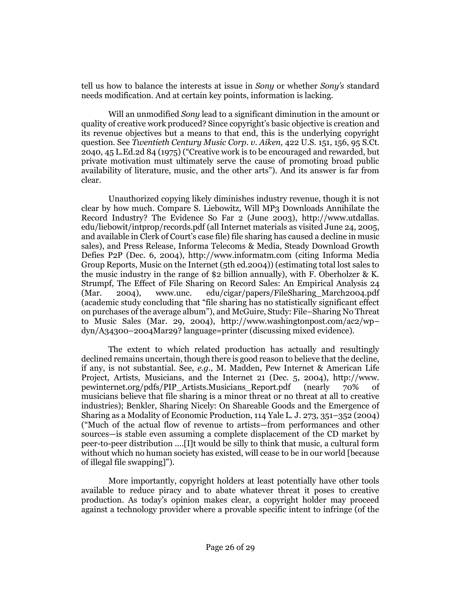tell us how to balance the interests at issue in *[Sony](http://www.westlaw.com/Link/Document/FullText?findType=Y&serNum=1984103021&pubNum=708&originatingDoc=I3fb03e97e5d511d983e7e9deff98dc6f&refType=CC&originationContext=document&vr=3.0&rs=cblt1.0&transitionType=DocumentItem&contextData=(sc.UserEnteredCitation))* or whether *[Sony's](http://www.westlaw.com/Link/Document/FullText?findType=Y&serNum=1984103021&pubNum=708&originatingDoc=I3fb03e97e5d511d983e7e9deff98dc6f&refType=CC&originationContext=document&vr=3.0&rs=cblt1.0&transitionType=DocumentItem&contextData=(sc.UserEnteredCitation))* standard needs modification. And at certain key points, information is lacking.

Will an unmodified *[Sony](http://www.westlaw.com/Link/Document/FullText?findType=Y&serNum=1984103021&pubNum=708&originatingDoc=I3fb03e97e5d511d983e7e9deff98dc6f&refType=CC&originationContext=document&vr=3.0&rs=cblt1.0&transitionType=DocumentItem&contextData=(sc.UserEnteredCitation))* lead to a significant diminution in the amount or quality of creative work produced? Since copyright's basic objective is creation and its revenue objectives but a means to that end, this is the underlying copyright question. See *[Twentieth Century Music Corp. v. Aiken,](http://www.westlaw.com/Link/Document/FullText?findType=Y&serNum=1975129809&pubNum=0000708&originatingDoc=I3fb03e97e5d511d983e7e9deff98dc6f&refType=RP&originationContext=document&vr=3.0&rs=cblt1.0&transitionType=DocumentItem&contextData=(sc.UserEnteredCitation))* 422 U.S. 151, 156, 95 S.Ct. [2040, 45 L.Ed.2d 84 \(1975\)](http://www.westlaw.com/Link/Document/FullText?findType=Y&serNum=1975129809&pubNum=0000708&originatingDoc=I3fb03e97e5d511d983e7e9deff98dc6f&refType=RP&originationContext=document&vr=3.0&rs=cblt1.0&transitionType=DocumentItem&contextData=(sc.UserEnteredCitation)) ("Creative work is to be encouraged and rewarded, but private motivation must ultimately serve the cause of promoting broad public availability of literature, music, and the other arts"). And its answer is far from clear.

Unauthorized copying likely diminishes industry revenue, though it is not clear by how much. Compare S. Liebowitz, Will MP3 Downloads Annihilate the Record Industry? The Evidence So Far 2 (June 2003), http://www.utdallas. edu/liebowit/intprop/records.pdf (all Internet materials as visited June 24, 2005, and available in Clerk of Court's case file) file sharing has caused a decline in music sales), and Press Release, Informa Telecoms & Media, Steady Download Growth Defies P2P (Dec. 6, 2004), http://www.informatm.com (citing Informa Media Group Reports, Music on the Internet (5th ed.2004)) (estimating total lost sales to the music industry in the range of  $$2$  billion annually), with F. Oberholzer & K. Strumpf, The Effect of File Sharing on Record Sales: An Empirical Analysis 24 (Mar. 2004), www.unc. edu/cigar/papers/FileSharing\_March2004.pdf (academic study concluding that "file sharing has no statistically significant effect on purchases of the average album"), and McGuire, Study: File–Sharing No Threat to Music Sales (Mar. 29, 2004), http://www.washingtonpost.com/ac2/wp– dyn/A34300–2004Mar29? language=printer (discussing mixed evidence).

The extent to which related production has actually and resultingly declined remains uncertain, though there is good reason to believe that the decline, if any, is not substantial. See, *e.g.,* M. Madden, Pew Internet & American Life Project, Artists, Musicians, and the Internet 21 (Dec. 5, 2004), http://www. pewinternet.org/pdfs/PIP\_Artists.Musicians\_Report.pdf (nearly 70% of musicians believe that file sharing is a minor threat or no threat at all to creative industries); Benkler, [Sharing Nicely: On Shareable Goods and the Emergence of](http://www.westlaw.com/Link/Document/FullText?findType=Y&serNum=0303057232&pubNum=0001292&originatingDoc=I3fb03e97e5d511d983e7e9deff98dc6f&refType=LR&originationContext=document&vr=3.0&rs=cblt1.0&transitionType=DocumentItem&contextData=(sc.UserEnteredCitation))  [Sharing as a Modality of Economic Production, 114 Yale L. J. 273, 351](http://www.westlaw.com/Link/Document/FullText?findType=Y&serNum=0303057232&pubNum=0001292&originatingDoc=I3fb03e97e5d511d983e7e9deff98dc6f&refType=LR&originationContext=document&vr=3.0&rs=cblt1.0&transitionType=DocumentItem&contextData=(sc.UserEnteredCitation))–352 (2004) ("Much of the actual flow of revenue to artists—from performances and other sources—is stable even assuming a complete displacement of the CD market by peer-to-peer distribution ....[I]t would be silly to think that music, a cultural form without which no human society has existed, will cease to be in our world [because of illegal file swapping]").

More importantly, copyright holders at least potentially have other tools available to reduce piracy and to abate whatever threat it poses to creative production. As today's opinion makes clear, a copyright holder may proceed against a technology provider where a provable specific intent to infringe (of the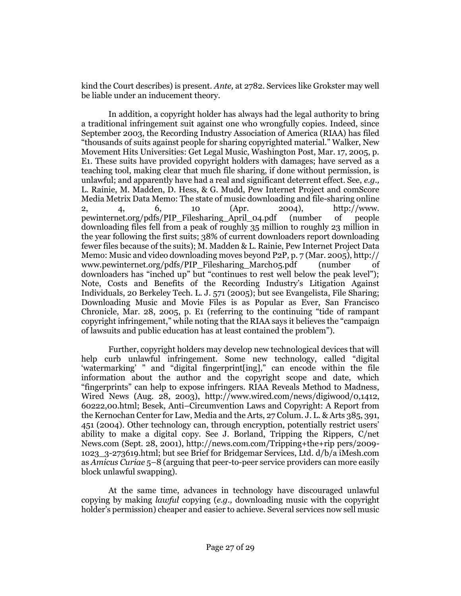kind the Court describes) is present. *Ante,* at 2782. Services like Grokster may well be liable under an inducement theory.

In addition, a copyright holder has always had the legal authority to bring a traditional infringement suit against one who wrongfully copies. Indeed, since September 2003, the Recording Industry Association of America (RIAA) has filed "thousands of suits against people for sharing copyrighted material." Walker, New Movement Hits Universities: Get Legal Music, Washington Post, Mar. 17, 2005, p. E1. These suits have provided copyright holders with damages; have served as a teaching tool, making clear that much file sharing, if done without permission, is unlawful; and apparently have had a real and significant deterrent effect. See, *e.g.,* L. Rainie, M. Madden, D. Hess, & G. Mudd, Pew Internet Project and comScore Media Metrix Data Memo: The state of music downloading and file-sharing online 2, 4, 6, 10 (Apr. 2004), http://www. pewinternet.org/pdfs/PIP\_Filesharing\_April\_04.pdf (number of people downloading files fell from a peak of roughly 35 million to roughly 23 million in the year following the first suits; 38% of current downloaders report downloading fewer files because of the suits); M. Madden & L. Rainie, Pew Internet Project Data Memo: Music and video downloading moves beyond P2P, p. 7 (Mar. 2005), http:// www.pewinternet.org/pdfs/PIP\_Filesharing\_March05.pdf (number of downloaders has "inched up" but "continues to rest well below the peak level"); Note, [Costs and Benefits of the Recording Industry's Litigation Against](http://www.westlaw.com/Link/Document/FullText?findType=Y&serNum=0304106914&pubNum=0111090&originatingDoc=I3fb03e97e5d511d983e7e9deff98dc6f&refType=LR&originationContext=document&vr=3.0&rs=cblt1.0&transitionType=DocumentItem&contextData=(sc.UserEnteredCitation))  [Individuals, 20 Berkeley Tech. L. J. 571](http://www.westlaw.com/Link/Document/FullText?findType=Y&serNum=0304106914&pubNum=0111090&originatingDoc=I3fb03e97e5d511d983e7e9deff98dc6f&refType=LR&originationContext=document&vr=3.0&rs=cblt1.0&transitionType=DocumentItem&contextData=(sc.UserEnteredCitation)) (2005); but see Evangelista, File Sharing; Downloading Music and Movie Files is as Popular as Ever, San Francisco Chronicle, Mar. 28, 2005, p. E1 (referring to the continuing "tide of rampant copyright infringement," while noting that the RIAA says it believes the "campaign of lawsuits and public education has at least contained the problem").

Further, copyright holders may develop new technological devices that will help curb unlawful infringement. Some new technology, called "digital 'watermarking' " and "digital fingerprint[ing]," can encode within the file information about the author and the copyright scope and date, which "fingerprints" can help to expose infringers. RIAA Reveals Method to Madness, Wired News (Aug. 28, 2003), http://www.wired.com/news/digiwood/0,1412, 60222,00.html; Besek, Anti–[Circumvention Laws and Copyright: A Report from](http://www.westlaw.com/Link/Document/FullText?findType=Y&serNum=0300971178&pubNum=0003564&originatingDoc=I3fb03e97e5d511d983e7e9deff98dc6f&refType=LR&fi=co_pp_sp_3564_391&originationContext=document&vr=3.0&rs=cblt1.0&transitionType=DocumentItem&contextData=(sc.UserEnteredCitation)#co_pp_sp_3564_391)  [the Kernochan Center for Law, Media and the Arts, 27 Colum. J. L. & Arts 385, 391,](http://www.westlaw.com/Link/Document/FullText?findType=Y&serNum=0300971178&pubNum=0003564&originatingDoc=I3fb03e97e5d511d983e7e9deff98dc6f&refType=LR&fi=co_pp_sp_3564_391&originationContext=document&vr=3.0&rs=cblt1.0&transitionType=DocumentItem&contextData=(sc.UserEnteredCitation)#co_pp_sp_3564_391)  [451 \(2004\).](http://www.westlaw.com/Link/Document/FullText?findType=Y&serNum=0300971178&pubNum=0003564&originatingDoc=I3fb03e97e5d511d983e7e9deff98dc6f&refType=LR&fi=co_pp_sp_3564_391&originationContext=document&vr=3.0&rs=cblt1.0&transitionType=DocumentItem&contextData=(sc.UserEnteredCitation)#co_pp_sp_3564_391) Other technology can, through encryption, potentially restrict users' ability to make a digital copy. See J. Borland, Tripping the Rippers, C/net News.com (Sept. 28, 2001), http://news.com.com/Tripping+the+rip pers/2009- 1023  $3$ -273619.html; but see Brief for Bridgemar Services, Ltd.  $d/b/a$  iMesh.com as *Amicus Curiae* 5–8 (arguing that peer-to-peer service providers can more easily block unlawful swapping).

At the same time, advances in technology have discouraged unlawful copying by making *lawful* copying (*e.g.,* downloading music with the copyright holder's permission) cheaper and easier to achieve. Several services now sell music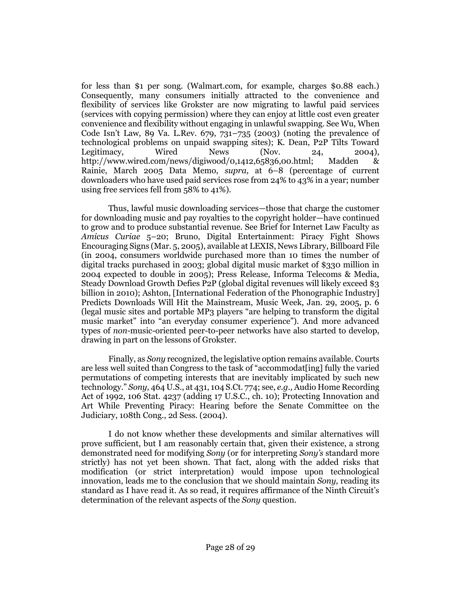for less than \$1 per song. (Walmart.com, for example, charges \$0.88 each.) Consequently, many consumers initially attracted to the convenience and flexibility of services like Grokster are now migrating to lawful paid services (services with copying permission) where they can enjoy at little cost even greater convenience and flexibility without engaging in unlawful swapping. See Wu, [When](http://www.westlaw.com/Link/Document/FullText?findType=Y&serNum=0294591939&pubNum=0001359&originatingDoc=I3fb03e97e5d511d983e7e9deff98dc6f&refType=LR&fi=co_pp_sp_1359_731&originationContext=document&vr=3.0&rs=cblt1.0&transitionType=DocumentItem&contextData=(sc.UserEnteredCitation)#co_pp_sp_1359_731)  [Code Isn't Law, 89 Va. L.Rev. 679, 731–](http://www.westlaw.com/Link/Document/FullText?findType=Y&serNum=0294591939&pubNum=0001359&originatingDoc=I3fb03e97e5d511d983e7e9deff98dc6f&refType=LR&fi=co_pp_sp_1359_731&originationContext=document&vr=3.0&rs=cblt1.0&transitionType=DocumentItem&contextData=(sc.UserEnteredCitation)#co_pp_sp_1359_731)735 (2003) (noting the prevalence of technological problems on unpaid swapping sites); K. Dean, P2P Tilts Toward Legitimacy, Wired News (Nov. 24, 2004), http://www.wired.com/news/digiwood/0,1412,65836,00.html; Madden & Rainie, March 2005 Data Memo, *supra,* at 6–8 (percentage of current downloaders who have used paid services rose from 24% to 43% in a year; number using free services fell from 58% to 41%).

Thus, lawful music downloading services—those that charge the customer for downloading music and pay royalties to the copyright holder—have continued to grow and to produce substantial revenue. See Brief for Internet Law Faculty as *Amicus Curiae* 5–20; Bruno, Digital Entertainment: Piracy Fight Shows Encouraging Signs (Mar. 5, 2005), available at LEXIS, News Library, Billboard File (in 2004, consumers worldwide purchased more than 10 times the number of digital tracks purchased in 2003; global digital music market of \$330 million in 2004 expected to double in 2005); Press Release, Informa Telecoms & Media, Steady Download Growth Defies P2P (global digital revenues will likely exceed \$3 billion in 2010); Ashton, [International Federation of the Phonographic Industry] Predicts Downloads Will Hit the Mainstream, Music Week, Jan. 29, 2005, p. 6 (legal music sites and portable MP3 players "are helping to transform the digital music market" into "an everyday consumer experience"). And more advanced types of *non-*music-oriented peer-to-peer networks have also started to develop, drawing in part on the lessons of Grokster.

Finally, as *[Sony](http://www.westlaw.com/Link/Document/FullText?findType=Y&serNum=1984103021&pubNum=708&originatingDoc=I3fb03e97e5d511d983e7e9deff98dc6f&refType=CC&originationContext=document&vr=3.0&rs=cblt1.0&transitionType=DocumentItem&contextData=(sc.UserEnteredCitation))* recognized, the legislative option remains available. Courts are less well suited than Congress to the task of "accommodat[ing] fully the varied permutations of competing interests that are inevitably implicated by such new technology." *Sony,* [464 U.S., at 431, 104 S.Ct. 774;](http://www.westlaw.com/Link/Document/FullText?findType=Y&serNum=1984103021&pubNum=708&originatingDoc=I3fb03e97e5d511d983e7e9deff98dc6f&refType=RP&originationContext=document&vr=3.0&rs=cblt1.0&transitionType=DocumentItem&contextData=(sc.UserEnteredCitation)) see, *e.g.,* Audio Home Recording Act of 1992, 106 Stat. 4237 (adding 17 U.S.C., ch. 10); Protecting Innovation and Art While Preventing Piracy: Hearing before the Senate Committee on the Judiciary, 108th Cong., 2d Sess. (2004).

I do not know whether these developments and similar alternatives will prove sufficient, but I am reasonably certain that, given their existence, a strong demonstrated need for modifying *[Sony](http://www.westlaw.com/Link/Document/FullText?findType=Y&serNum=1984103021&pubNum=708&originatingDoc=I3fb03e97e5d511d983e7e9deff98dc6f&refType=CC&originationContext=document&vr=3.0&rs=cblt1.0&transitionType=DocumentItem&contextData=(sc.UserEnteredCitation))* (or for interpreting *[Sony's](http://www.westlaw.com/Link/Document/FullText?findType=Y&serNum=1984103021&pubNum=708&originatingDoc=I3fb03e97e5d511d983e7e9deff98dc6f&refType=CC&originationContext=document&vr=3.0&rs=cblt1.0&transitionType=DocumentItem&contextData=(sc.UserEnteredCitation))* standard more strictly) has not yet been shown. That fact, along with the added risks that modification (or strict interpretation) would impose upon technological innovation, leads me to the conclusion that we should maintain *[Sony,](http://www.westlaw.com/Link/Document/FullText?findType=Y&serNum=1984103021&pubNum=708&originatingDoc=I3fb03e97e5d511d983e7e9deff98dc6f&refType=CC&originationContext=document&vr=3.0&rs=cblt1.0&transitionType=DocumentItem&contextData=(sc.UserEnteredCitation))* reading its standard as I have read it. As so read, it requires affirmance of the Ninth Circuit's determination of the relevant aspects of the *[Sony](http://www.westlaw.com/Link/Document/FullText?findType=Y&serNum=1984103021&pubNum=708&originatingDoc=I3fb03e97e5d511d983e7e9deff98dc6f&refType=CC&originationContext=document&vr=3.0&rs=cblt1.0&transitionType=DocumentItem&contextData=(sc.UserEnteredCitation))* question.